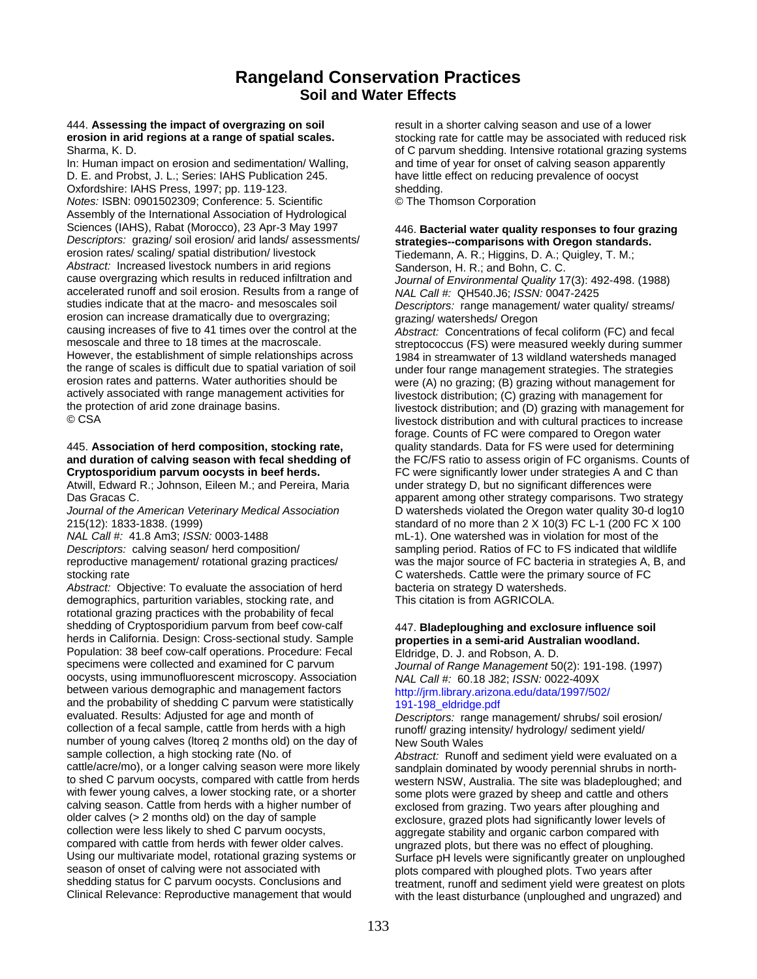### **Rangeland Conservation Practices Soil and Water Effects**

# 444. **Assessing the impact of overgrazing on soil** result in a shorter calving season and use of a lower<br>**erosion in arid regions at a range of spatial scales.** Stocking rate for cattle may be associated with reduce

In: Human impact on erosion and sedimentation/ Walling, and time of year for onset of calving season apparently D. E. and Probst, J. L.; Series: IAHS Publication 245. have little effect on reducing prevalence of oocyst Oxfordshire: IAHS Press, 1997; pp. 119-123. shedding. *Notes:* ISBN: 0901502309; Conference: 5. Scientific © The Thomson Corporation Assembly of the International Association of Hydrological Sciences (IAHS), Rabat (Morocco), 23 Apr-3 May 1997 446. **Bacterial water quality responses to four grazing**<br>*Descriptors: grazing/ soil erosion/ arid lands/ assessments/* strategies--comparisons with Oregon standards. *Descriptors:* grazing/ soil erosion/ arid lands/ assessments/ **strategies--comparisons with Oregon standards.**<br> **Strategies-Comparisons with Oregon standards.** Tiedemann, A. R.: Higgins, D. A.: Quigley, T. M.: *Abstract:* Increased livestock numbers in arid regions Sanderson, H. R.; and Bohn, C. C. cause overgrazing which results in reduced infiltration and *Journal of Environmental Quality* 17(3): 492-498. (1988) accelerated runoff and soil erosion. Results from a range of *NAL Call #:* QH540.J6; *ISSN:* 0047-2425 erosion can increase dramatically due to overgrazing; example or grazing/ watersheds/ Oregon causing increases of five to 41 times over the control at the *Abstract:* Concentrations of f causing increases of five to 41 times over the control at the *Abstract:* Concentrations of fecal coliform (FC) and fecal mesoscale and three to 18 times at the macroscale. streptococcus (FS) were measured weekly during summer<br>However, the establishment of simple relationships across 1984 in streamwater of 13 wildland watersheds managed However, the establishment of simple relationships across a 1984 in streamwater of 13 wildland watersheds managed<br>the range of scales is difficult due to spatial variation of soil under four range management strategies. Th the range of scales is difficult due to spatial variation of soil under four range management strategies. The strategies<br>erosion rates and patterns. Water authorities should be vere (A) no grazing: (B) grazing without mana erosion rates and patterns. Water authorities should be were (A) no grazing; (B) grazing without management for<br>actively associated with range management activities for livestock distribution: (C) grazing with management f actively associated with range management activities for livestock distribution; (C) grazing with management for<br>the protection of arid zone drainage basins.<br>livestock distribution: and (D) grazing with management

# 445. **Association of herd composition, stocking rate,** quality standards. Data for FS were used for determining

Atwill, Edward R.; Johnson, Eileen M.; and Pereira, Maria under strategy D, but no significant differences were

stocking rate C watersheds. Cattle were the primary source of FC

Abstract: Objective: To evaluate the association of herd bacteria on strategy D watersheds. demographics, parturition variables, stocking rate, and This citation is from AGRICOLA. rotational grazing practices with the probability of fecal shedding of Cryptosporidium parvum from beef cow-calf 447. **Bladeploughing and exclosure influence soil**<br>
herds in California. Design: Cross-sectional study. Sample **properties in a semi-arid Australian woodland.** herds in California. Design: Cross-sectional study. Sample Population: 38 beef cow-calf operations. Procedure: Fecal Eldridge, D. J. and Robson, A. D.<br>specimens were collected and examined for C parvum oocysts, using immunofluorescent microscopy. Association between various demographic and management factors http://jrm.library.arizona.edu/data/1997/502/ and the probability of shedding C parvum were statistically  $\frac{191-198 \text{ }V}{191-198}$  eldridge.pdf evaluated. Results: Adjusted for age and month of Descriptors: range may collection of a fecal sample, cattle from herds with a high runoff/ grazing intensity/ hydrology/ sediment yield/ number of young calves (Itoreq 2 months old) on the day of New South Wales<br>sample collection, a high stocking rate (No. of *Abstract:* Runoff a sample collection, a high stocking rate (No. of *Abstract: Runoff and sediment yield were evaluated on a*<br>cattle/acre/mo), or a longer calving season were more likely sandplain dominated by woody perennial shrubs in northcattle/acre/mo), or a longer calving season were more likely sandplain dominated by woody perennial shrubs in north-<br>to shed C parvum oocysts, compared with cattle from herds western NSW. Australia. The site was bladeploug to shed C parvum oocysts, compared with cattle from herds western NSW, Australia. The site was bladeploughed; and<br>with fewer young calves, a lower stocking rate, or a shorter some plots were grazed by sheep and cattle and calving season. Cattle from herds with a higher number of exclosed from grazing. Two years after ploughing and<br>
older calves (> 2 months old) on the day of sample exclosure grazed plots had significantly lower levels or older calves (> 2 months old) on the day of sample exclosure, grazed plots had significantly lower levels of collection were less likely to shed C parvum oocysts, compared with cattle from herds with fewer older calves.<br>Using our multivariate model, rotational grazing systems or Surface of levels were significantly greater on unplo season of onset of calving were not associated with<br>shedding status for C parvum oocysts. Conclusions and<br>treatment. runoff and sediment vield were greatest or shedding status for C parvum oocysts. Conclusions and treatment, runoff and sediment yield were greatest on plots<br>Clinical Relevance: Reproductive management that would with the least disturbance (upploughed and ungrazed)

stocking rate for cattle may be associated with reduced risk Sharma, K. D. Charles and Communicational grazing systems of C parvum shedding. Intensive rotational grazing systems

Tiedemann, A. R.; Higgins, D. A.; Quigley, T. M.; Descriptors: range management/ water quality/ streams/ the protection of arid zone drainage basins.<br>
© CSA livestock distribution; and with cultural practices to increase livestock distribution and with cultural practices to increase forage. Counts of FC were compared to Oregon water **and duration of calving season with fecal shedding of** the FC/FS ratio to assess origin of FC organisms. Counts of **Cryptosporidium parvum oocysts in beef herds.** FC were significantly lower under strategies A and C than Das Gracas C. **Comparisons** C. **Comparisons** C. apparent among other strategy comparisons. Two strategy *Journal of the American Veterinary Medical Association* D watersheds violated the Oregon water quality 30-d log10 215(12): 1833-1838. (1999)<br>
MAL Call #: 41.8 Am3; ISSN: 0003-1488 mL-1). One watershed was in violation for most of the mL-1). One watershed was in violation for most of the *Descriptors:* calving season/ herd composition/ sampling period. Ratios of FC to FS indicated that wildlife reproductive management/ rotational grazing practices/ was the major source of FC bacteria in strategies A, B, and

Journal of Range Management 50(2): 191-198. (1997)<br>NAL Call #: 60.18 J82: ISSN: 0022-409X

Descriptors: range management/ shrubs/ soil erosion/

some plots were grazed by sheep and cattle and others aggregate stability and organic carbon compared with Surface pH levels were significantly greater on unploughed with the least disturbance (unploughed and ungrazed) and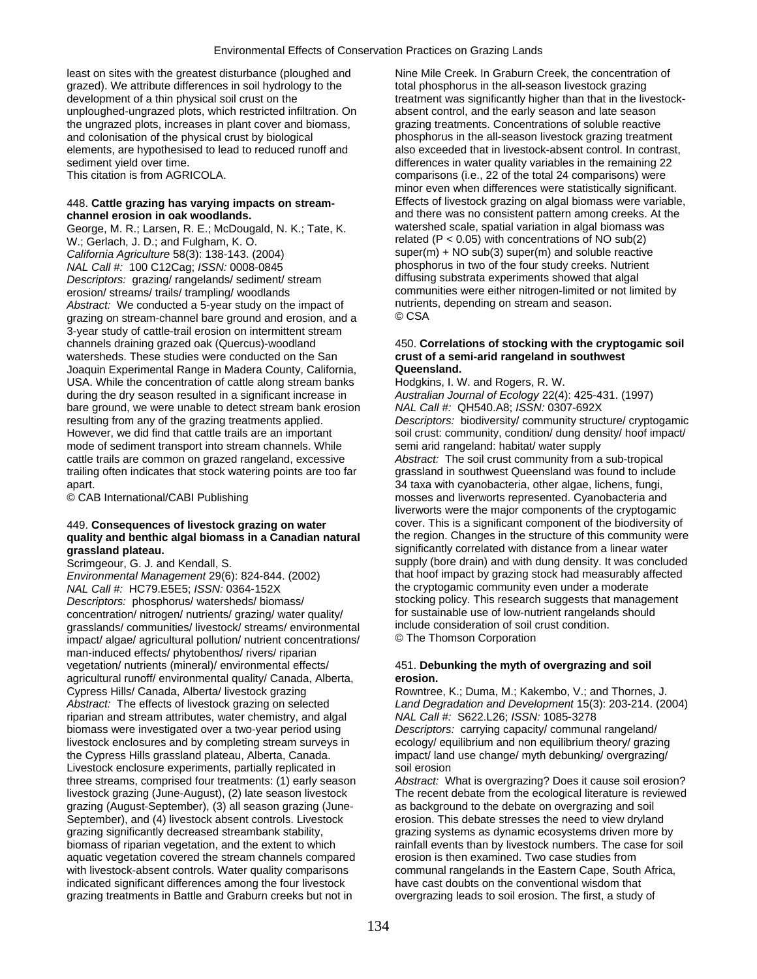least on sites with the greatest disturbance (ploughed and Nine Mile Creek. In Graburn Creek, the concentration of grazed). We attribute differences in soil hydrology to the total phosphorus in the all-season livestock grazing development of a thin physical soil crust on the treatment was significantly higher than that in the livestockunploughed-ungrazed plots, which restricted infiltration. On absent control, and the early season and late season the ungrazed plots, increases in plant cover and biomass, grazing treatments. Concentrations of soluble reactive and colonisation of the physical crust by biological phosphorus in the all-season livestock grazing treatment elements, are hypothesised to lead to reduced runoff and also exceeded that in livestock-absent control. In contrast, sediment yield over time. The settlement of the settlement of the remaining 22 sediment yield over time.

George, M. R.; Larsen, R. E.; McDougald, N. K.; Tate, K. W.; Gerlach, J. D.; and Fulgham, K. O. related (P < 0.05) with concentrations of NO sub(2) California Agriculture 58(3): 138-143. (2004) super(m) + NO sub(3) super(m) and soluble reactive *NAL Call #:* <sup>1</sup>00 C12Cag; *ISSN:* 0008-0845 phosphorus in two of the four study creeks. Nutrient<br>Descriptors: grazing/ rangelands/ sediment/ stream diffusing substrata experiments showed that algal *Descriptors: grazing/ rangelands/ sediment/ stream* erosion/ streams/ trails/ trampling/ woodlands communities were either nitrogen-limited or not limited by<br>Abstract: We conducted a 5-vear study on the impact of nutrients, depending on stream and season. *Abstract:* We conducted a 5-year study on the impact of nutrient nutrient<br>grazing on stream-channel bare ground and erosion, and a grazing on stream-channel bare ground and erosion, and a 3-year study of cattle-trail erosion on intermittent stream channels draining grazed oak (Quercus)-woodland 450. **Correlations of stocking with the cryptogamic soil**  watersheds. These studies were conducted on the San **crust of a semi-arid rangeland in southwest**  Joaquin Experimental Range in Madera County, California, **Queensland.**  USA. While the concentration of cattle along stream banks Hodgkins, I. W. and Rogers, R. W. during the dry season resulted in a significant increase in *Australian Journal of Ecology* 22(4): 425-431. (1997) bare ground, we were unable to detect stream bank erosion *NAL Call #:* QH540.A8; *ISSN:* 0307-692X However, we did find that cattle trails are an important soil crust: community, condition/ dung density/ hoof impact/ mode of sediment transport into stream channels. While semi arid rangeland: habitat/ water supply cattle trails are common on grazed rangeland, excessive *Abstract:* The soil crust community from a sub-tropical trailing often indicates that stock watering points are too far grassland in southwest Queensland was found to include apart. 34 taxa with cyanobacteria, other algae, lichens, fungi,

### **quality and benthic algal biomass in a Canadian natural grassland plateau. state of the state of the significantly correlated with distance from a linear water**

*Environmental Management* 29(6): 824-844. (2002) that hoof impact by grazing stock had measurably affected *NAL Call #:* HC79.E5E5; *ISSN:* 0364-152X the cryptogamic community even under a moderate *Descriptors:* phosphorus/ watersheds/ biomass/ stocking policy. This research suggests that manager<br>concentration/ nitrogen/ nutrients/ grazing/ water quality/ for sustainable use of low-nutrient rangelands should concentration/ nitrogen/ nutrients/ grazing/ water quality/ for sustainable use of low-nutrient rangeland<br>
grasslands/ communities/ livestock/ streams/ environmental include consideration of soil crust condition. grasslands/ communities/ livestock/ streams/ environmental include consideration of soil or include consideration of soil c<br>impact/ algae/ agricultural pollution/ nutrient concentrations/ Componente Thomson Corporation impact/ algae/ agricultural pollution/ nutrient concentrations/ man-induced effects/ phytobenthos/ rivers/ riparian vegetation/ nutrients (mineral)/ environmental effects/ 451. **Debunking the myth of overgrazing and soil**  agricultural runoff/ environmental quality/ Canada, Alberta, **erosion.**  Cypress Hills/ Canada, Alberta/ livestock grazing Rowntree, K.; Duma, M.; Kakembo, V.; and Thornes, J. *Abstract:* The effects of livestock grazing on selected *Land Degradation and Development* 15(3): 203-214. (2004) riparian and stream attributes, water chemistry, and algal *NAL Call #:* S622.L26; *ISSN:* 1085-3278 biomass were investigated over a two-year period using *Descriptors:* carrying capacity/ communal rangeland/ livestock enclosures and by completing stream surveys in ecology/ equilibrium and non equilibrium theory/ grazing the Cypress Hills grassland plateau, Alberta, Canada. impact/ land use change/ myth debunking/ overgrazing/ Livestock enclosure experiments, partially replicated in soil erosion three streams, comprised four treatments: (1) early season *Abstract:* What is overgrazing? Does it cause soil erosion? livestock grazing (June-August), (2) late season livestock The recent debate from the ecological literature is reviewed grazing (August-September), (3) all season grazing (June- as background to the debate on overgrazing and soil September), and (4) livestock absent controls. Livestock erosion. This debate stresses the need to view dryland grazing significantly decreased streambank stability, grazing systems as dynamic ecosystems driven more by biomass of riparian vegetation, and the extent to which rainfall events than by livestock numbers. The case for soil aquatic vegetation covered the stream channels compared erosion is then examined. Two case studies from with livestock-absent controls. Water quality comparisons communal rangelands in the Eastern Cape, South Africa, indicated significant differences among the four livestock have cast doubts on the conventional wisdom that grazing treatments in Battle and Graburn creeks but not in overgrazing leads to soil erosion. The first, a study of

This citation is from AGRICOLA. Comparisons (i.e., 22 of the total 24 comparisons) were minor even when differences were statistically significant. 448. **Cattle grazing has varying impacts on stream-** Effects of livestock grazing on algal biomass were variable, **channel erosion in oak woodlands. and there was no consistent pattern among creeks.** At the channel **creation** and there was no consistent pattern among creeks. At the channel of channel of channel of channel of channel

resulting from any of the grazing treatments applied. *Descriptors:* biodiversity/ community structure/ cryptogamic © CAB International/CABI Publishing mosses and liverworts represented. Cyanobacteria and liverworts were the major components of the cryptogamic 449. **Consequences of livestock grazing on water** cover. This is a significant component of the biodiversity of **quality and benthic algal biomass in a Canadian natural** the region. Changes in the structure of this communi Scrimgeour, G. J. and Kendall, S. Supply (bore drain) and with dung density. It was concluded<br>
Fovironmental Management 29(6): 824-844 (2002) fhat hoof impact by grazing stock had measurably affected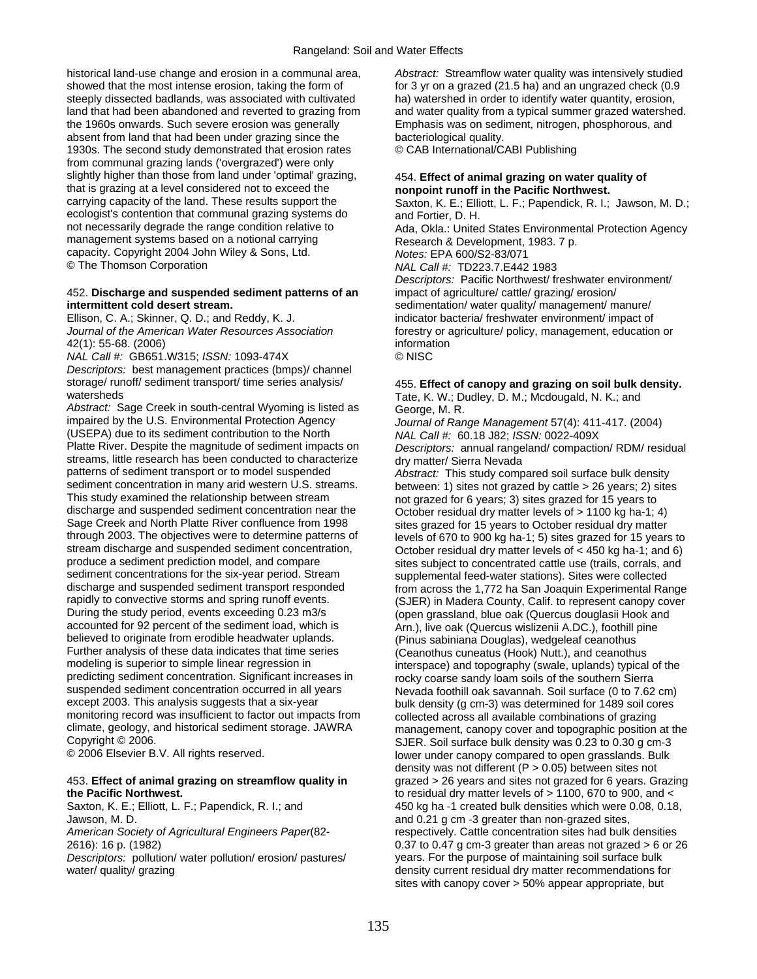historical land-use change and erosion in a communal area, *Abstract:* Streamflow water quality was intensively studied showed that the most intense erosion, taking the form of for 3 yr on a grazed (21.5 ha) and an ungrazed check (0.9 steeply dissected badlands, was associated with cultivated ha) watershed in order to identify water quantity, erosion,<br>Iand that had been abandoned and reverted to grazing from and water quality from a typical summer graze the 1960s onwards. Such severe erosion was generally Emphasis was on sediment, nitrogen, phosphorous, and absent from land that had been under grazing since the bacteriological quality. 1930s. The second study demonstrated that erosion rates © CAB International/CABI Publishing from communal grazing lands ('overgrazed') were only slightly higher than those from land under 'optimal' grazing, 454. **Effect of animal grazing on water quality of**  that is grazing at a level considered not to exceed the **nonpoint runoff in the Pacific Northwest.**<br>
carrying capacity of the land. These results support the Saxton K F · Filliott I F · Papendick R I · ecologist's contention that communal grazing systems do and Fortier, D. H.<br>not necessarily degrade the range condition relative to Ada, Okla.: United management systems based on a notional carrying Research & Development, 1983. 7 p. capacity. Copyright 2004 John Wiley & Sons, Ltd. *Notes:* EPA 600/S2-83/071<br>© The Thomson Corporation *NAI* Call # TD223 7 F442

### 452. **Discharge and suspended sediment patterns of an** impact of agriculture/ cattle/ grazing/ erosion/ **intermittent cold desert stream. sedimentation/ water quality/ management/ manure/** manure/

42(1): 55-68. (2006) information

*NAL Call #:* GB651.W315; *ISSN:* 1093-474X © NISC *Descriptors:* best management practices (bmps)/ channel storage/ runoff/ sediment transport/ time series analysis/ 455. **Effect of canopy and grazing on soil bulk density.**<br>
We Dudley, D. M.: Mcdougald, N. K.: and

*Abstract:* Sage Creek in south-central Wyoming is listed as George, M. R. impaired by the U.S. Environmental Protection Agency Journal of Ran (USEPA) due to its sediment contribution to the North<br>*Platte River. Despite the magnitude of sediment impacts on* streams, little research has been conducted to characterize dry matter/ Sierra Nevada<br>patterns of sediment transport or to model suspended *Abstract:* This study comp sediment concentration in many arid western U.S. streams. between: 1) sites not grazed by cattle > 26 years; 2) sites<br>This study examined the relationship between stream by not grazed for 6 years; 3) sites grazed for 15 ye discharge and suspended sediment concentration near the October residual dry matter levels of > 1100 kg ha-1; 4)<br>Sage Creek and North Platte River confluence from 1998 sites grazed for 15 years to October residual dry matt Sage Creek and North Platte River confluence from 1998 sites grazed for 15 years to October residual dry matter<br>Sites grade 1: 5) sites grazed for 15 years through 2003. The objectives were to determine patterns of levels of 670 to 900 kg ha-1; 5) sites grazed for 15 years to<br>stream discharge and suspended sediment concentration. Corober residual dry matter levels of < 450 kg stream discharge and suspended sediment concentration, Corober residual dry matter levels of < 450 kg ha-1; and 6) produce a sediment prediction model, and compare produce a sediment prediction model, and compare sites subject to concentrated cattle use (trails, corrals, and<br>supplement concentrations for the six-year period. Stream supplemental feed-water stations). Sites were collec sediment concentrations for the six-year period. Stream supplemental feed-water stations). Sites were collected<br>discharge and suspended sediment transport responded from across the 1 772 ha San Joaquin Experimental Ra discharge and suspended sediment transport responded from across the 1,772 ha San Joaquin Experimental Range<br>France is the transport of the transport of the transport of the transport of the response transport cap respo rapidly to convective storms and spring runoff events. (SJER) in Madera County, Calif. to represent canopy cover<br>During the study period, events exceeding 0.23 m3/s (open grassland. blue oak (Quercus douglasii Hook and During the study period, events exceeding 0.23 m3/s (open grassland, blue oak (Quercus douglasii Hook and accounted for 92 percent of the sediment load, which is (Arn.), live oak (Quercus wislizenii A.DC.), foothill pine believed to originate from erodible headwater uplands. (Pinus sabiniana Douglas), wedgeleaf ceanothus Further analysis of these data indicates that time series (Ceanothus cuneatus (Hook) Nutt.), and ceanothus modeling is superior to simple linear regression in interspace) and topography (swale, uplands) typical modeling is superior to simple linear regression in interspace) and topography (swale, uplands) typical of the<br>predicting sediment concentration. Significant increases in rocky coarse sandy loam soils of the southern Sierr predicting sediment concentration. Significant increases in rocky coarse sandy loam soils of the southern Sierra<br>Suspended sediment concentration occurred in all years Nevada foothill oak savannab. Soil surface (0 to 7 62 suspended sediment concentration occurred in all years Nevada foothill oak savannah. Soil surface (0 to 7.62 cm)<br>Houlk density (a cm-3) was determined for 1489 soil cores monitoring record was insufficient to factor out impacts from collected across all available combinations of grazing<br>climate, geology, and historical sediment storage. JAWRA management canopy cover and topographic position climate, geology, and historical sediment storage. JAWRA management, canopy cover and topographic position at the

## **the Pacific Northwest.** to residual dry matter levels of > 1100, 670 to 900, and <

Jawson, M. D. **Internal and 2000 and 0.21 g cm -3 greater than non-grazed sites.** 

and water quality from a typical summer grazed watershed.

Saxton, K. E.; Elliott, L. F.; Papendick, R. I.; Jawson, M. D.;

Ada, Okla.: United States Environmental Protection Agency

© The Thomson Corporation *NAL Call #:* TD223.7.E442 1983 *Descriptors:* Pacific Northwest/ freshwater environment/

Ellison, C. A.; Skinner, Q. D.; and Reddy, K. J. indicator bacteria/ freshwater environment/ impact of *Journal of the American Water Resources Association* forestry or agriculture/ policy, management, education or

## Tate, K. W.; Dudley, D. M.; Mcdougald, N. K.; and

Journal of Range Management 57(4): 411-417. (2004)<br>NAL Call #: 60.18 J82; *ISSN:* 0022-409X Descriptors: annual rangeland/ compaction/ RDM/ residual

Abstract: This study compared soil surface bulk densitv not grazed for 6 years; 3) sites grazed for 15 years to Arn.), live oak (Quercus wislizenii A.DC.), foothill pine bulk density (g cm-3) was determined for 1489 soil cores Copyright © 2006.<br>© 2006 Elsevier B.V. All rights reserved. The Summary Super under canopy compared to open grasslands. Bulk lower under canopy compared to open grasslands. Bulk density was not different  $(P > 0.05)$  between sites not 453. **Effect of animal grazing on streamflow quality in** grazed > 26 years and sites not grazed for 6 years. Grazing Saxton, K. E.; Elliott, L. F.; Papendick, R. I.; and 450 kg ha -1 created bulk densities which were 0.08, 0.18, *American Society of Agricultural Engineers Paper*(82- respectively. Cattle concentration sites had bulk densities 2616): 16 p. (1982) 0.37 to 0.47 g cm-3 greater than areas not grazed > 6 or 26 *Descriptors:* pollution/ water pollution/ erosion/ pastures/ years. For the purpose of maintaining soil surface bulk<br>water/ quality/ grazing<br>for a strong pastures/ density current residual dry matter recommendations for density current residual dry matter recommendations for sites with canopy cover > 50% appear appropriate, but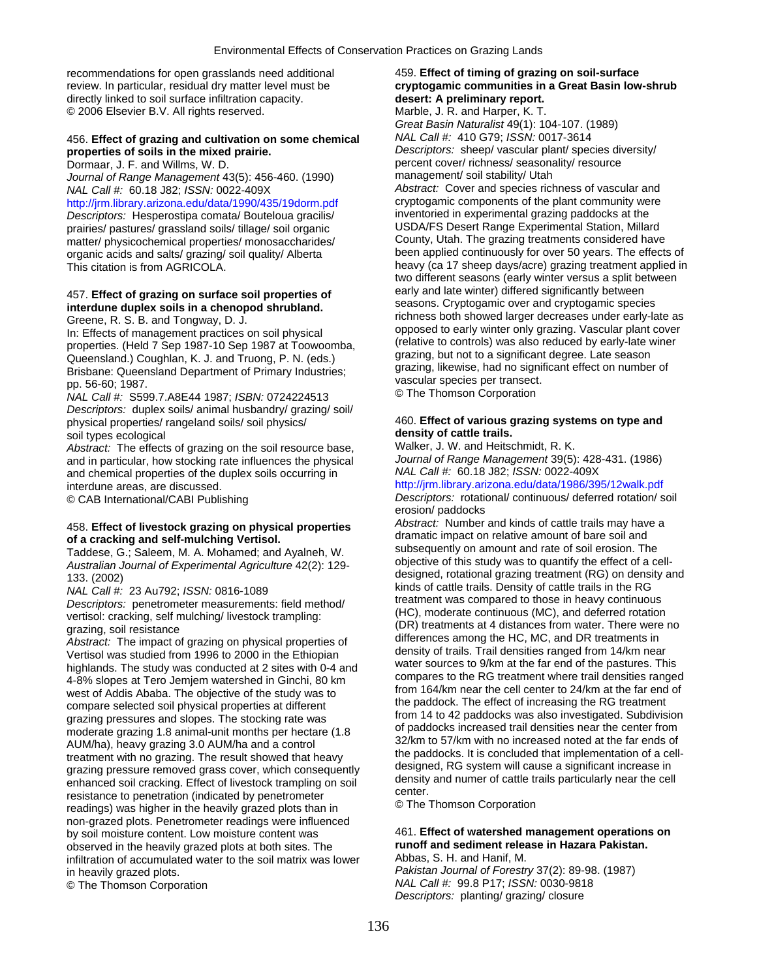recommendations for open grasslands need additional 459. **Effect of timing of grazing on soil-surface**  directly linked to soil surface infiltration capacity. **desert: A preliminary report.**  © 2006 Elsevier B.V. All rights reserved. Marble, J. R. and Harper, K. T.

### 456. **Effect of grazing and cultivation on some chemical** *NAL Call #:* 410 G79; *ISSN:* 0017-3614 **properties of soils in the mixed prairie.** *Descriptors:* sheep/ vascular plant/ species diversity/

*Journal of Range Management* 43(5): 456-460. (1990)

<http://jrm.library.arizona.edu/data/1990/435/19dorm.pdf>cryptogamic components of the plant community we<br>Descriptors: Hesperostipa comata/ Bouteloua gracilis/ inventoried in experimental grazing paddocks at the *Descriptors:* Hesperostipa comata/ Bouteloua gracilis/ inventoried in experimental grazing paddocks at the prairies/ or at the prairies/ or at the prairies/ or at the prairies/ or at the prairies/ or at the prairies/ or a prairies/ pastures/ grassland soils/ tillage/ soil organic

In: Effects of management practices on soil physical on the proposed to early winter only grazing. Vascular plant cover<br>properties. (Held 7 Sep 1987-10 Sep 1987 at Toowoomba, (relative to controls) was also reduced by earl Queensland.) Coughlan, K. J. and Truong, P. N. (eds.)<br>Brisbane: Queensland Department of Primary Industries;<br>pp. 56-60; 1987.<br>
MAL Call #: S599.7.A8E44 1987; ISBN: 0724224513<br>
MAL Call #: S599.7.A8E44 1987; ISBN: 072422451

*Descriptors:* duplex soils/ animal husbandry/ grazing/ soil/ physical properties/ rangeland soils/ soil physics/ 460. **Effect of various grazing systems on type and**  soil types ecological **density of cattle trails.**<br>
Abstract: The effects of grazing on the soil resource base. Walker, J. W. and Heitschmidt, R. K.

*Abstract:* The effects of grazing on the soil resource base, Walker, J. W. and Heitschmidt, R. K. and in particular, how stocking rate influences the physical *Journal of Range Management* 39(5): 428<br>and chemical properties of the duplex soils occurring in *NAL Call #:* 60.18 J82; *ISSN:* 0022-409X and chemical properties of the duplex soils occurring in interdune areas, are discussed. http://jrm.library.arizona.edu/data/1986/395/12walk.pdf

grazing pressures and slopes. The stocking rate was<br>
moderate grazing 1.8 animal-unit months per hectare (1.8 of paddocks increased trail densities near the center from<br>
AUM/ha), heavy grazing 3.0 AUM/ha and a control sack Freatment with no grazing. The result showed that heavy<br>grazing pressure removed grass cover, which consequently<br>enhanced soil cracking. Effect of livestock trampling on soil<br>resistance to penetration (indicated by penetro non-grazed plots. Penetrometer readings were influenced by soil moisture content. Low moisture content was 461. **Effect of watershed management operations on**  observed in the heavily grazed plots at both sites. The **runoff and sediment releant property** infiltration of accumulated water to the soil matrix was lower **Abbas, S. H. and Hanif, M.** infiltration of accumulated water to the soil matrix was lower in heavily grazed plots. *Pakistan Journal of Forestry* 37(2): 89-98. (1987)

# review. In particular, residual dry matter level must be **cryptogamic communities in a Great Basin low-shrub**

*Great Basin Naturalist* 49(1): 104-107. (1989) Dormaar, J. F. and Willms, W. D. percent cover/ richness/ seasonality/ resource<br>
Journal of Range Management 43(5): 456-460. (1990) management/ soil stability/ Utah *NAL Call #:* 60.18 J82; *ISSN:* 0022-409X<br> **Abstract:** Cover and species richness of vascular and<br> **http://irm library arizona edu/data/1990/435/19dorm pdf** cryptogamic components of the plant community were matter/ physicochemical properties/ monosaccharides/ County, Utah. The grazing treatments considered have organic acids and salts/ grazing/ soil quality/ Alberta been applied continuously for over 50 years. The effects of This citation is from AGRICOLA. https://www.marchite.org/ca 17 sheep days/acre) grazing treatment applied in two different seasons (early winter versus a split between early and late winter) differed significantly between 457. **Effect of grazing on surface soil properties of** seasons. Cryptogamic over and cryptogamic species **interdune duplex soils in a chenopod shrubland.** Greene, R. S. B. and Tongway, D. J. richness both showed larger decreases under early-late as<br>
In: Effects of management practices on soil physical opposed to early winter only grazing. Vascular plant cover

© CAB International/CABI Publishing *Descriptors:* rotational/ continuous/ deferred rotation/ soil erosion/ paddocks

458. Effect of livestock grazing on physical properties<br>
of a cracking and self-mulching Vertisol.<br>
Taddese, G.; Saleem, M. A. Mohamed; and Ayalneh, W.<br>
Australian Journal of Experimental Agriculture 42(2): 129-<br>
133. (200 NAL Call #: 23 Au792; ISSN: 0816-1089<br>Descriptors: penetrometer measurements: field method/<br>vertisol: cracking self mulching/livestock trampling:<br>vertisol: cracking self mulching/livestock trampling:<br>(HC), moderate continu vertisol: cracking, self mulching/ livestock trampling: (HC), moderate continuous (MC), and deferred rotation<br>grazing, soil resistance (DR) treatments at 4 distances from water. There were no<br>Abstract: The impact of grazin

© The Thomson Corporation *NAL Call #:* 99.8 P17; *ISSN:* 0030-9818 *Descriptors:* planting/ grazing/ closure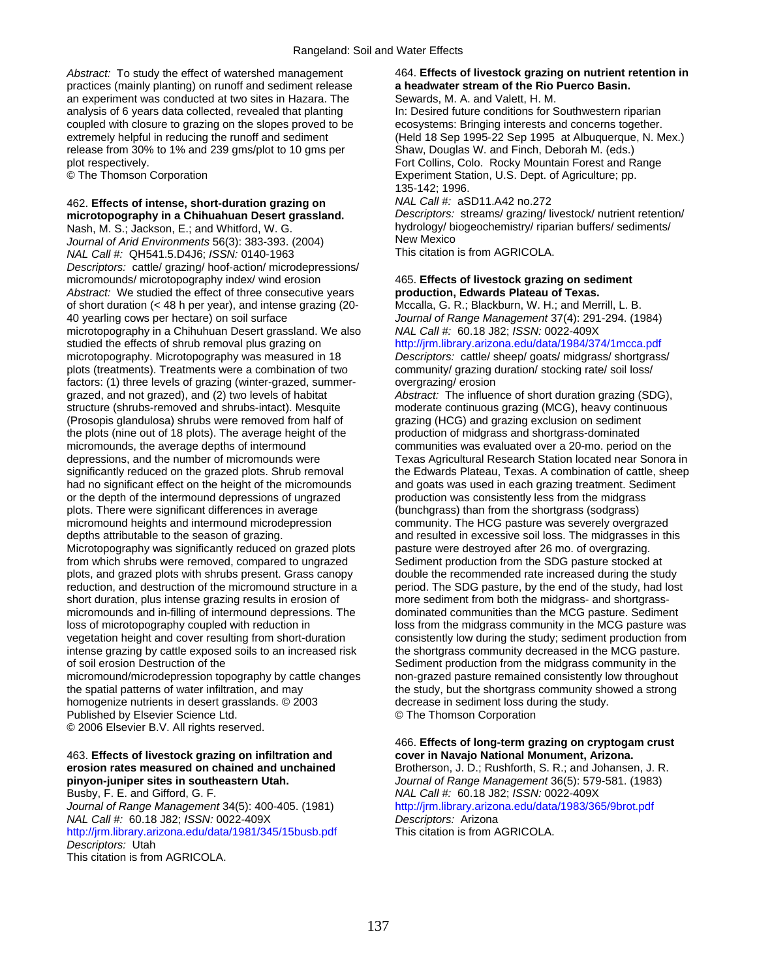practices (mainly planting) on runoff and sediment release **a headwater stream of the Rio Puerco Basin.** an experiment was conducted at two sites in Hazara. The Sewards, M. A. and Valett, H. M. analysis of 6 years data collected, revealed that planting In: Desired future conditions for Southwestern riparian coupled with closure to grazing on the slopes proved to be ecosystems: Bringing interests and concerns together. release from 30% to 1% and 239 gms/plot to 10 gms per Shaw, Douglas W. and Finch, Deborah M. (eds.) plot respectively. Fort Collins, Colo. Rocky Mountain Forest and Range

# 462. **Effects of intense, short-duration grazing on** *NAL Call #:* aSD11.A42 no.272

*Journal of Arid Environments* 56(3): 383-393. (2004) New Mexico *NAL Call #: QH541.5.D4J6; <i>ISSN: 0140-1963 Descriptors:* cattle/ grazing/ hoof-action/ microdepressions/ micromounds/ microtopography index/ wind erosion 465. **Effects of livestock grazing on sediment**  *Abstract:* We studied the effect of three consecutive years **production, Edwards Plateau of Texas.**  of short duration ( $<$  48 h per year), and intense grazing (20-40 yearling cows per hectare) on soil surface *Journal of Range Management* 37(4): 291-294. (1984) microtopography in a Chihuhuan Desert grassland. We also *NAL Call #:* 60.18 J82; *ISSN:* 0022-409X studied the effects of shrub removal plus grazing on http://jrm.library.arizona.edu/data/1984/374/1mcca.pdf microtopography. Microtopography was measured in 18 *Descriptors:* cattle/ sheep/ goats/ midgrass/ shortgrass/ plots (treatments). Treatments were a combination of two community/ grazing duration/ stocking rate/ soil loss/ factors: (1) three levels of grazing (winter-grazed, summer- overgrazing/ erosion grazed, and not grazed), and (2) two levels of habitat *Abstract:* The influence of short duration grazing (SDG), structure (shrubs-removed and shrubs-intact). Mesquite moderate continuous grazing (MCG), heavy continuous (Prosopis glandulosa) shrubs were removed from half of grazing (HCG) and grazing exclusion on sediment the plots (nine out of 18 plots). The average height of the production of midgrass and shortgrass-dominated micromounds, the average depths of intermound communities was evaluated over a 20-mo. period on the depressions, and the number of micromounds were Texas Agricultural Research Station located near Sonora in significantly reduced on the grazed plots. Shrub removal the Edwards Plateau, Texas. A combination of cattle, sheep had no significant effect on the height of the micromounds and goats was used in each grazing treatment. Sediment or the depth of the intermound depressions of ungrazed production was consistently less from the midgrass or the depth of the intermound depressions of ungrazed plots. There were significant differences in average (bunchgrass) than from the shortgrass (sodgrass) micromound heights and intermound microdepression community. The HCG pasture was severely overgrazed depths attributable to the season of grazing. The midgrasses in this control and resulted in excessive soil loss. The midgrasses in this Microtopography was significantly reduced on grazed plots pasture were destroyed after 26 mo. of overgrazing. from which shrubs were removed, compared to ungrazed Sediment production from the SDG pasture stocked at plots, and grazed plots with shrubs present. Grass canopy double the recommended rate increased during the study reduction, and destruction of the micromound structure in a period. The SDG pasture, by the end of the study, had lost short duration, plus intense grazing results in erosion of more sediment from both the midgrass- and shortgrassmicromounds and in-filling of intermound depressions. The dominated communities than the MCG pasture. Sediment<br>loss of microtopography coupled with reduction in loss from the midgrass community in the MCG pasture wa vegetation height and cover resulting from short-duration consistently low during the study; sediment production from intense grazing by cattle exposed soils to an increased risk the shortgrass community decreased in the MCG pasture. of soil erosion Destruction of the Sediment production from the midgrass community in the micromound/microdepression topography by cattle changes non-grazed pasture remained consistently low throughout the spatial patterns of water infiltration, and may the study, but the shortgrass community showed a strong homogenize nutrients in desert grasslands. © 2003 decrease in sediment loss during the study. Published by Elsevier Science Ltd. © The Thomson Corporation © 2006 Elsevier B.V. All rights reserved.

# 463. Effects of livestock grazing on infiltration and erosion rates measured on chained and unchained

Journal of Range Management 34(5): 400-405. (1981) http://jrm.library.arizona.edu/data/1983/365/9brot.pdf *NAL Call #:* 60.18 J82; *ISSN:* 0022-409X *Descriptors:* Arizona <http://jrm.library.arizona.edu/data/1981/345/15busb.pdf>This citation is from AGRICOLA. *Descriptors:* Utah This citation is from AGRICOLA.

# *Abstract:* To study the effect of watershed management 464. **Effects of livestock grazing on nutrient retention in**

extremely helpful in reducing the runoff and sediment (Held 18 Sep 1995-22 Sep 1995 at Albuquerque, N. Mex.) © The Thomson Corporation **Experiment Station, U.S. Dept. of Agriculture**; pp. 135-142; 1996.

**microtopography in a Chihuahuan Desert grassland.** *Descriptors:* streams/ grazing/ livestock/ nutrient retention/ Nash, M. S.; Jackson, E.; and Whitford, W. G. hydrology/ biogeochemistry/ riparian buffers/ sediments/<br>
lournal of Arid Environments 56(3): 383-393 (2004) New Mexico

loss from the midgrass community in the MCG pasture was

466. **Effects of long-term grazing on cryptogam crust**  Brotherson, J. D.; Rushforth, S. R.; and Johansen, J. R. **pinyon-juniper sites in southeastern Utah.** *Journal of Range Management* 36(5): 579-581. (1983) Busby, F. E. and Gifford, G. F. *NAL Call #:* 60.18 J82; *ISSN:* 0022-409X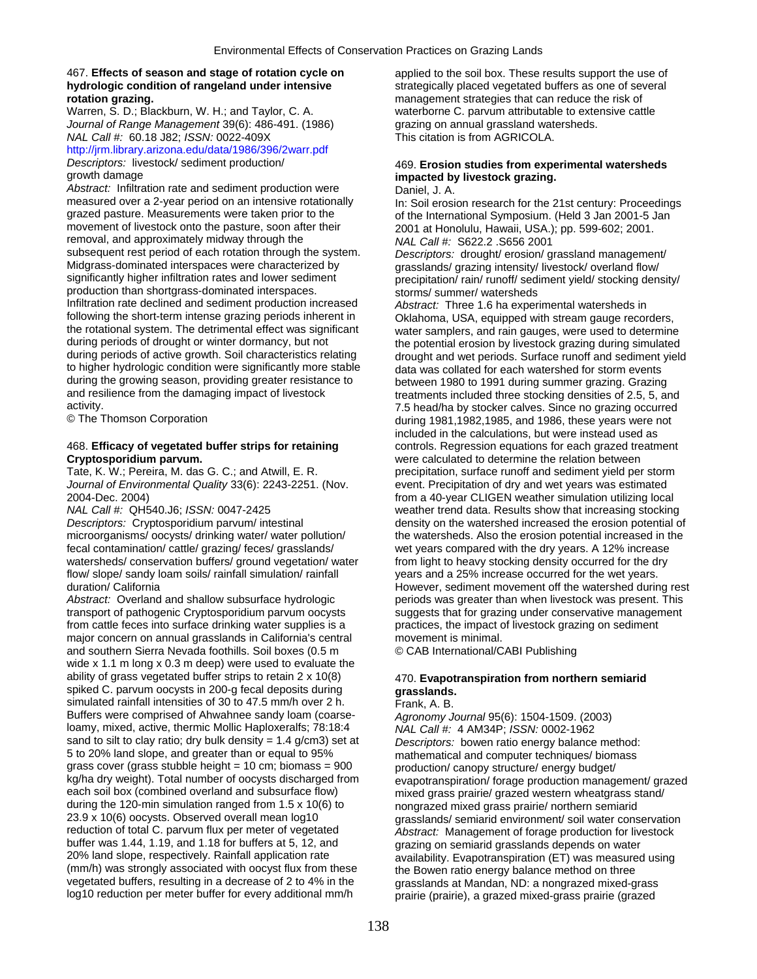### 467. **Effects of season and stage of rotation cycle on** applied to the soil box. These results support the use of **hydrologic condition of rangeland under intensive strategically placed vegetated buffers as one of several rotation grazing.**<br> **hydrologic condition grazing.**<br> **hydrologic condition of rangeland under intensive strate**

*Journal of Range Management* 39(6): 486-491. (1986) grazing on annual grassland watersheds. *NAL Call #:* 60.18 J82; *ISSN:* 0022-409X This citation is from AGRICOLA.

# <http://jrm.library.arizona.edu/data/1986/396/2warr.pdf>

*Abstract:* Infiltration rate and sediment production were measured over a 2-year period on an intensive rotationally measured over a 2-year period on an intensive rotationally In: Soil erosion research for the 21st century: Proceedings<br>grazed pasture. Measurements were taken prior to the state of the International Symposium. (Held 3 Jan grazed pasture. Measurements were taken prior to the orienting of the International Symposium. (Held 3 Jan 2001-5 Jan 2001-5 Jan 2001-5 Jan 2001-5 Jan 2001-5 Jan 2001-5 Jan 2001. removal, and approximately midway through the *NAL Call #:* S622.2 .S656 2001 subsequent rest period of each rotation through the system.<br>
Midgrass-dominated interspaces were characterized by erasslands/ grazing intensity/ livestock/ overland flow/ Midgrass-dominated interspaces were characterized by grasslands/ grazing intensity/ livestock/ overland flow/<br>significantly higher infiltration rates and lower sediment precipitation/ rain/ runoff/ sediment vield/ stocking production than shortgrass-dominated interspaces.<br>
Infiltration rate declined and sediment production increased *Abstract:* Three 1.6 ha exper Infiltration rate declined and sediment production increased *Abstract:* Three 1.6 ha experimental watersheds in<br>
following the short-term intense grazing periods inherent in Cklahoma USA equipped with stream gauge recor following the short-term intense grazing periods inherent in Oklahoma, USA, equipped with stream gauge recorders, the rotational system. The detrimental effect was significant water samplers, and rain gauges, were used to determine<br>during periods of drought or winter dormancy, but not the potential erosion by livestock grazing during during periods of drought or winter dormancy, but not the potential erosion by livestock grazing during simulated<br>during periods of active growth. Soil characteristics relating drought and wet periods. Surface runoff and s to higher hydrologic condition were significantly more stable data was collated for each watershed for storm events<br>during the growing season, providing greater resistance to between 1980 to 1991 during summer grazing. Gra during the growing season, providing greater resistance to between 1980 to 1991 during summer grazing. Grazing and resilience from the damaging impact of livestock treatments included three stocking densities of 2.5, 5, at and resilience from the damaging impact of livestock treatments included three stocking densities of 2.5, 5, and<br>activity. The stocker calves. Since no grazing occurred

## **Cryptosporidium parvum.** were calculated to determine the relation between

*Journal of Environmental Quality* 33(6): 2243-2251. (Nov. event. Precipitation of dry and wet years was estimated

fecal contamination/ cattle/ grazing/ feces/ grasslands/ wet years compared with the dry years. A 12% increase watersheds/ conservation buffers/ ground vegetation/ water from light to heavy stocking density occurred for the dry flow/ slope/ sandy loam soils/ rainfall simulation/ rainfall years and a 25% increase occurred for the wet years.

*Abstract:* Overland and shallow subsurface hydrologic periods was greater than when livestock was present. This transport of pathogenic Cryptosporidium parvum oocysts suggests that for grazing under conservative management from cattle feces into surface drinking water supplies is a practices, the impact of livestock grazing on sediment major concern on annual grasslands in California's central movement is minimal. and southern Sierra Nevada foothills. Soil boxes (0.5 m © CAB International/CABI Publishing wide x 1.1 m long x 0.3 m deep) were used to evaluate the ability of grass vegetated buffer strips to retain 2 x 10(8) 470. **Evapotranspiration from northern semiarid**  spiked C. parvum oocysts in 200-g fecal deposits during **grasslands.** simulated rainfall intensities of 30 to 47.5 mm/h over 2 h. Frank, A. B.<br>Buffers were comprised of Ahwahnee sandy loam (coarse-<br>Adronomy J loamy, mixed, active, thermic Mollic Haploxeralfs; 78:18:4 *NAL Call #:* 4 AM34P; *ISSN:* 0002-1962 sand to silt to clay ratio; dry bulk density = 1.4 g/cm3) set at *Descriptors:* bowen ratio energy balance method: grass cover (grass stubble height = 10 cm; biomass = 900 kg/ha dry weight). Total number of oocysts discharged from kg/ha dry weight). Total number of oocysts discharged from evapotranspiration/ forage production management/ grazed<br>each soil box (combined overland and subsurface flow) entitled grass prairie/ grazed western wheatgrass st during the 120-min simulation ranged from 1.5 x 10(6) to hongrazed mixed grass prairie/ northern semiarid<br>23.9 x 10(6) oocysts. Observed overall mean log10 rangislands/ semiarid environment/ soil water cons 23.9 x 10(6) oocysts. Observed overall mean log10 grasslands/ semiarid environment/ soil water conservation<br>
reduction of total C. parvum flux per meter of vegetated Abstract: Management of forage production for livestock buffer was 1.44, 1.19, and 1.18 for buffers at 5, 12, and grazing on semiarid grasslands depends on water<br>20% land slope, respectively. Rainfall application rate availability Evapotranspiration (FT) was measured (mm/h) was strongly associated with oocyst flux from these the Bowen ratio energy balance method on three<br>vegetated buffers, resulting in a decrease of 2 to 4% in the reasslands at Mandan, ND: a nongrazed mixed-or vegetated buffers, resulting in a decrease of 2 to 4% in the grasslands at Mandan, ND: a nongrazed mixed-grass<br>log10 reduction per meter buffer for every additional mm/h prairie (prairie) a grazed mixed-grass prairie (graz

management strategies that can reduce the risk of Warren, S. D.; Blackburn, W. H.; and Taylor, C. A. waterborne C. parvum attributable to extensive cattle

## **Descriptors:** livestock/ sediment production/ 469. **Erosion studies from experimental watersheds growth damage impacted by livestock grazing** impacted by livestock grazing.<br>Daniel, J. A.

2001 at Honolulu, Hawaii, USA.); pp. 599-602; 2001.

precipitation/ rain/ runoff/ sediment yield/ stocking density/

drought and wet periods. Surface runoff and sediment yield activity.<br>
T.5 head/ha by stocker calves. Since no grazing occurred<br>
during 1981.1982.1985, and 1986, these vears were not during 1981,1982,1985, and 1986, these years were not included in the calculations, but were instead used as 468. **Efficacy of vegetated buffer strips for retaining** controls. Regression equations for each grazed treatment Tate, K. W.; Pereira, M. das G. C.; and Atwill, E. R. precipitation, surface runoff and sediment yield per storm 2004-Dec. 2004) from a 40-year CLIGEN weather simulation utilizing local weather trend data. Results show that increasing stocking *Descriptors:* Cryptosporidium parvum/ intestinal density on the watershed increased the erosion potential of microorganisms/ oocysts/ drinking water/ water pollution/ the watersheds. Also the erosion potential increased i the watersheds. Also the erosion potential increased in the duration/ California **However, sediment movement off the watershed during rest** 

Buffers were comprised of Ahwahnee sandy loam (coarse- *Agronomy Journal* 95(6): 1504-1509. (2003) mathematical and computer techniques/ biomass<br>production/ canopy structure/ energy budget/ mixed grass prairie/ grazed western wheatgrass stand/ Abstract: Management of forage production for livestock availability. Evapotranspiration (ET) was measured using prairie (prairie), a grazed mixed-grass prairie (grazed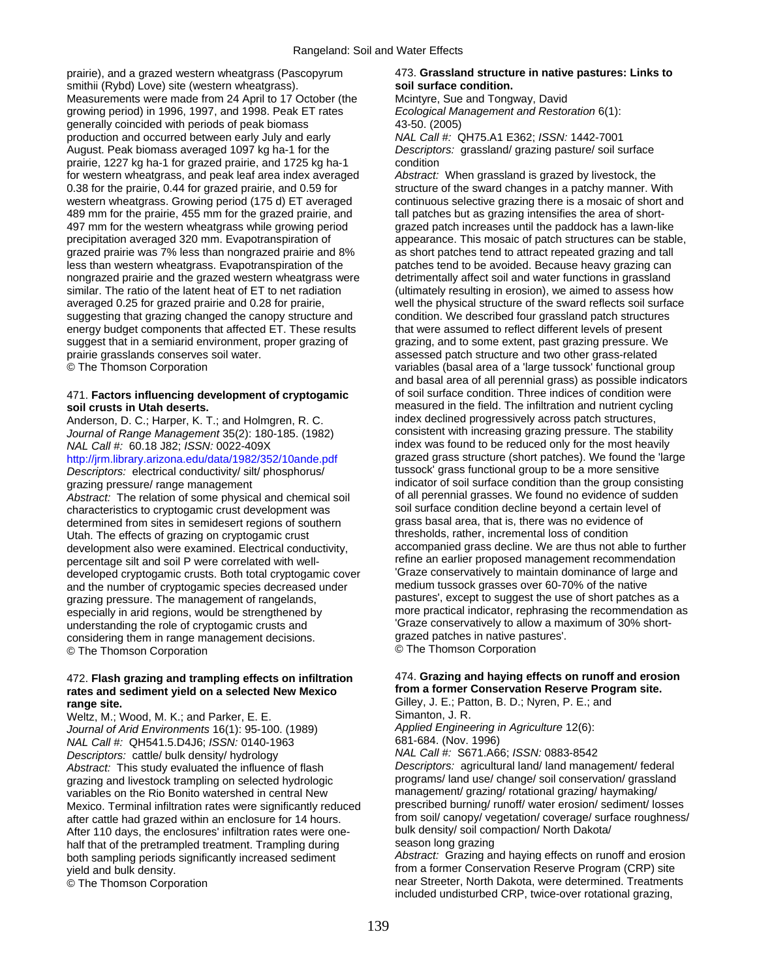prairie), and a grazed western wheatgrass (Pascopyrum 473. **Grassland structure in native pastures: Links to**  smithii (Rybd) Love) site (western wheatgrass). **soil surface condition.** Measurements were made from 24 April to 17 October (the Mcintyre, Sue and Tongway, David<br>
growing period) in 1996, 1997, and 1998. Peak ET rates *Ecological Management and Restoration* 6(1): growing period) in 1996, 1997, and 1998. Peak ET rates generally coincided with periods of peak biomass 43-50. (2005) production and occurred between early July and early *NAL Call #:* QH75.A1 E362; *ISSN:* 1442-7001 August. Peak biomass averaged 1097 kg ha-1 for the *Descriptors:* grassland/ grazing pasture/ soil surface prairie, 1227 kg ha-1 for grazed prairie, and 1725 kg ha-1 condition for western wheatgrass, and peak leaf area index averaged *Abstract:* When grassland is grazed by livestock, the 0.38 for the prairie, 0.44 for grazed prairie, and 0.59 for structure of the sward changes in a patchy manner. With western wheatgrass. Growing period (175 d) ET averaged continuous selective grazing there is a mosaic of short and 489 mm for the prairie, 455 mm for the grazed prairie, and tall patches but as grazing intensifies the area of short-497 mm for the western wheatgrass while growing period grazed patch increases until the paddock has a lawn-like precipitation averaged 320 mm. Evapotranspiration of appearance. This mosaic of patch structures can be stable, grazed prairie was 7% less than nongrazed prairie and 8% as short patches tend to attract repeated grazing and tall less than western wheatgrass. Evapotranspiration of the patches tend to be avoided. Because heavy grazing can nongrazed prairie and the grazed western wheatgrass were detrimentally affect soil and water functions in grassland similar. The ratio of the latent heat of ET to net radiation (ultimately resulting in erosion), we aimed to assess how averaged 0.25 for grazed prairie and 0.28 for prairie, well the physical structure of the sward reflects soil surface suggesting that grazing changed the canopy structure and condition. We described four grassland patch structures energy budget components that affected ET. These results that were assumed to reflect different levels of present suggest that in a semiarid environment, proper grazing of grazing, and to some extent, past grazing pressure. We prairie grasslands conserves soil water.  $\Box$  assessed patch structure and two other grass-related

## 471. **Factors influencing development of cryptogamic** of soil surface condition. Three indices of condition were

Anderson, D. C.; Harper, K. T.; and Holmgren, R. C.

*Descriptors:* electrical conductivity/ silt/ phosphorus/

characteristics to cryptogamic crust development was soil surface condition decline beyond a certain leve<br>determined from sites in semidesert regions of southern grass basal area, that is, there was no evidence of determined from sites in semidesert regions of southern grass basal area, that is, there was no evidence<br>Utah, The effects of grazing on cryptogamic crust thresholds, rather, incremental loss of condition Utah. The effects of grazing on cryptogamic crust development also were examined. Electrical conductivity, accompanied grass decline. We are thus not able to further percentage silt and soil P were correlated with well-<br>developed cryptogramic crusts. Both total cryptogramic cover<br>conservatively to maintain dominance of large and developed cryptogamic crusts. Both total cryptogamic cover 'Graze conservatively to maintain dominance of larg<br>and the number of cryptogamic species decreased under 'medium tussock grasses over 60-70% of the native and the number of cryptogamic species decreased under especially in arid regions, would be strengthened by more practical indicator, rephrasing the recommendation<br>Final inderstanding the role of cryptogamic crusts and street as and cryptography of allow a maximum of 30% short understanding the role of cryptogamic crusts and  $\frac{1}{100}$  Graze conservatively to allow a maximum considering them in range management decisions considering them in range management decisions. grazed patches in native pastures on the Thomson Corporation<br>
© The Thomson Corporation © The Thomson Corporation © The Thomson Corporation

### 472. **Flash grazing and trampling effects on infiltration** 474. **Grazing and haying effects on runoff and erosion**  rates and sediment yield on a selected New Mexico **range site. Figure 3.1 Contract Contract Contract Contract Contract Contract Contract Contract Contract Contract Contract Contract Contract Contract Contract Contract Contract Contract Contract Contract Contract Contrac**

Weltz, M.; Wood, M. K.; and Parker, E. E.<br>
Journal of Arid Environments 16(1): 95-100. (1989) Applied Engineering in Agriculture 12(6): *Journal of Arid Environments* 16(1): 95-100. (1989) *Applied Engineering in Agriculture* 12(6): *NAL Call #:* QH541.5.D4J6; *ISSN:* 0140-1963 681-684. (Nov. 1996) *Descriptors:* cattle/ bulk density/ hydrology *NAL Call #:* S671.A66; *ISSN:* 0883-8542 *Abstract:* This study evaluated the influence of flash *Descriptors:* agricultural land/ land management/ federal<br>
programs/ land use/ change/ soil conservation/ grassland<br>
programs/ land use/ change/ soil conservation/ g grazing and livestock trampling on selected hydrologic example programs/ land use/ change/ soil conservation/ grassland use/ change/ soil conservation/ grassland use/ change/ soil conservation/ grassland/ variables on the variables on the Rio Bonito watershed in central New management/ grazing/ rotational grazing/ haymaking/<br>Mexico, Terminal infiltration rates were significantly reduced prescribed burning/ runoff/ water erosion/ sediment/ l Mexico. Terminal infiltration rates were significantly reduced After 110 days, the enclosures' infiltration rates were one-<br>half that of the pretrampled treatment. Trampling during season long grazing half that of the pretrampled treatment. Trampling during season long grazing<br>hoth sampling periods significantly increased sediment *Abstract:* Grazing and haying effects on runoff and erosion both sampling periods significantly increased sediment yield and bulk density. The state of the state of the state of the form a former Conservation Reserve Program (CRP) site

© The Thomson Corporation variables (basal area of a 'large tussock' functional group and basal area of all perennial grass) as possible indicators **soil crusts in Utah deserts.** The interest of the field. The infiltration and nutrient cycling<br>Anderson, D. C.: Harper, K. T.: and Holmgren, R. C. The index declined progressively across patch structures, *Journal of Range Management* 35(2): 180-185. (1982) consistent with increasing grazing pressure. The stability *NAL Call #:* 60.18 J82; *ISSN:* 0022-409X **index was found to be reduced only for the most heavily** <http://jrm.library.arizona.edu/data/1982/352/10ande.pdf>grazed grass structure (short patches). We found the 'large<br>Descriptors: electrical conductivity/ silt/ phosphorus/ tussock' grass functional group to be a more sensi grazing pressure/ range management indicator of soil surface condition than the group consisting Abstract: The relation of some physical and chemical soil of all perennial grasses. We found no evidence of sudden<br>
characteristics to cryptogamic crust development was soil surface condition decline beyond a certain level grazing pressure. The management of rangelands, pastures', except to suggest the use of short patches as a<br>especially in arid regions, would be strengthened by more practical indicator, rephrasing the recommendation as

after cattle had grazed within an enclosure for 14 hours. from soil/ canopy/ vegetation/ coverage/ surface roughness/<br>After 110 days, the enclosures' infiltration rates were one-<br>bulk density/ soil compaction/ North Dakota

© The Thomson Corporation near Streeter, North Dakota, were determined. Treatments included undisturbed CRP, twice-over rotational grazing,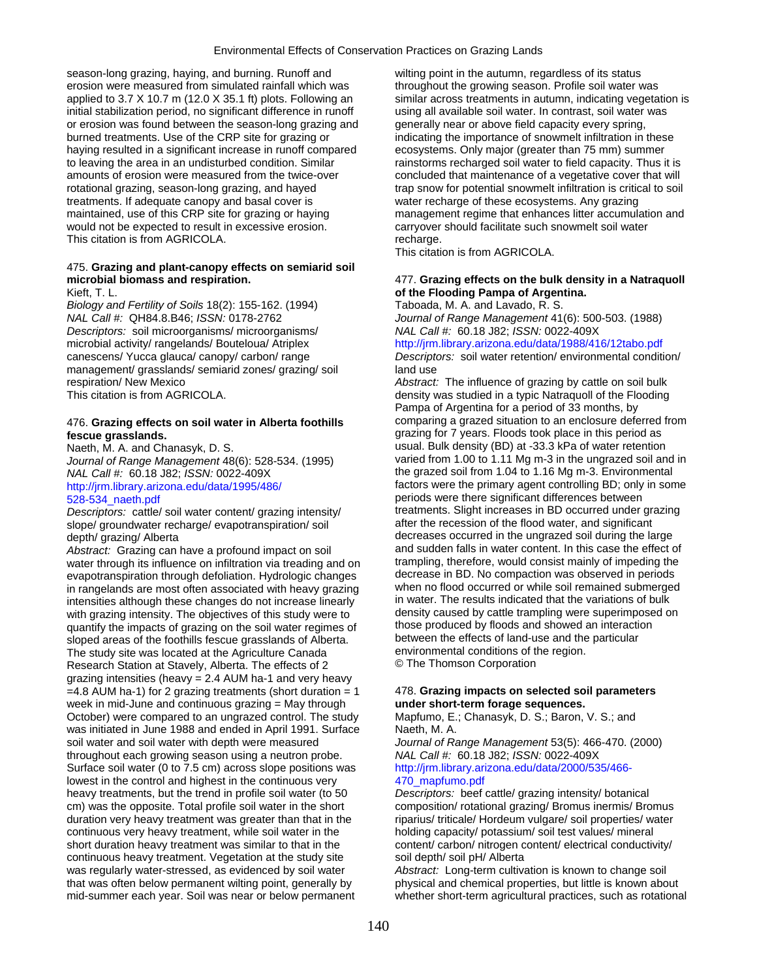season-long grazing, haying, and burning. Runoff and wilting point in the autumn, regardless of its status erosion were measured from simulated rainfall which was throughout the growing season. Profile soil water was initial stabilization period, no significant difference in runoff using all available soil water. In contrast, soil water was or erosion was found between the season-long grazing and generally near or above field capacity every spring, burned treatments. Use of the CRP site for grazing or indicating the importance of snowmelt infiltration in these haying resulted in a significant increase in runoff compared ecosystems. Only major (greater than 75 mm) summer to leaving the area in an undisturbed condition. Similar rainstorms recharged soil water to field capacity. Thus it is amounts of erosion were measured from the twice-over concluded that maintenance of a vegetative cover that will rotational grazing, season-long grazing, and hayed trap snow for potential snowmelt infiltration is critical to soil treatments. If adequate canopy and basal cover is water recharge of these ecosystems. Any grazing maintained, use of this CRP site for grazing or haying management regime that enhances litter accumulation and would not be expected to result in excessive erosion. carryover should facilitate such snowmelt soil water This citation is from AGRICOLA. This citation is from AGRICOLA.

# 475. **Grazing and plant-canopy effects on semiarid soil**

*Biology and Fertility of Soils* 18(2): 155-162. (1994) Taboada, M. A. and Lavado, R. S. *NAL Call #:* QH84.8.B46; *ISSN:* 0178-2762 *Journal of Range Management* 41(6): 500-503. (1988) *Descriptors:* soil microorganisms/ microorganisms/ *NAL Call #:* 60.18 J82; *ISSN:* 0022-409X microbial activity/ rangelands/ Bouteloua/ Atriplex <http://jrm.library.arizona.edu/data/1988/416/12tabo.pdf> management/ grasslands/ semiarid zones/ grazing/ soil land use

## **fescue grasslands.** grazing for 7 years. Floods took place in this period as

*Journal of Range Management* 48(6): 528-534. (1995)

slope/ groundwater recharge/ evapotranspiration/ soil

*Abstract:* Grazing can have a profound impact on soil and sudden falls in water content. In this case the effect of water rhrough its influence on infiltration via treading and on trampling, therefore, would consist mainl water through its influence on infiltration via treading and on trampling, therefore, would consist mainly of impeding the<br>evapotranspiration through defoliation Hydrologic changes decrease in BD. No compaction was observe evapotranspiration through defoliation. Hydrologic changes decrease in BD. No compaction was observed in periods<br>in rangelands are most often associated with heavy grazing when no flood occurred or while soil remained subm in rangelands are most often associated with heavy grazing when no flood occurred or while soil remained submerge<br>intensities although these changes do not increase linearly in water. The results indicated that the variati intensities although these changes do not increase linearly in water. The results indicated that the variations of bulk<br>with grazing intensity. The objectives of this study were to density caused by cattle trampling were s with grazing intensity. The objectives of this study were to density caused by cattle trampling were superimpose<br>quantify the impacts of grazing on the soil water regimes of those produced by floods and showed an interacti quantify the impacts of grazing on the soil water regimes of those produced by floods and showed an interaction<br>sloped areas of the foothills fescue grasslands of Alberta. Showe between the effects of land-use and the part sloped areas of the foothills fescue grasslands of Alberta. between the effects of land-use and the particular the Agriculture Canada The study site was located at the Agriculture Canada environmental conditions of the region.<br>
Research Station at Stavely, Alberta, The effects of 2 **Canada** Elementan Corporation Research Station at Stavely, Alberta. The effects of 2 grazing intensities (heavy = 2.4 AUM ha-1 and very heavy =4.8 AUM ha-1) for 2 grazing treatments (short duration = 1 478. **Grazing impacts on selected soil parameters**  week in mid-June and continuous grazing = May through **under short-term forage sequences.**  October) were compared to an ungrazed control. The study Mapfumo, E.; Chanasyk, D. S.; Baron, V. S.; and was initiated in June 1988 and ended in April 1991. Surface Naeth, M. A. soil water and soil water with depth were measured *Journal of Range Management* 53(5): 466-470. (2000)<br>throughout each growing season using a neutron probe. MAL Call #: 60.18 J82; *ISSN:* 0022-409X throughout each growing season using a neutron probe. *NAL Call #:* 60.18 J82; *ISSN:* 0022-409X Surface soil water (0 to 7.5 cm) across slope positions was lowest in the control and highest in the continuous very 470 mapfumo.pdf heavy treatments, but the trend in profile soil water (to 50 *Descriptors:* beef cattle/ grazing intensity/ botanical cm) was the opposite. Total profile soil water in the short composition/ rotational grazing/ Bromus inermis/ Bromus duration very heavy treatment was greater than that in the riparius/ triticale/ Hordeum vulgare/ soil properties/ water continuous very heavy treatment, while soil water in the holding capacity/ potassium/ soil test values/ mineral short duration heavy treatment was similar to that in the content/ carbon/ nitrogen content/ electrical conductivity/ continuous heavy treatment. Vegetation at the study site soil depth/ soil pH/ Alberta was regularly water-stressed, as evidenced by soil water *Abstract:* Long-term cultivation is known to change soil that was often below permanent wilting point, generally by physical and chemical properties, but little is known about mid-summer each year. Soil was near or below permanent whether short-term agricultural practices, such as rotational

applied to 3.7 X 10.7 m (12.0 X 35.1 ft) plots. Following an similar across treatments in autumn, indicating vegetation is

This citation is from AGRICOLA.

### **microbial biomass and respiration.** 477. **Grazing effects on the bulk density in a Natraquoll**  Kieft, T. L. **of the Flooding Pampa of Argentina.**

canescens/ Yucca glauca/ canopy/ carbon/ range *Descriptors:* soil water retention/ environmental condition/

respiration/ New Mexico *Abstract:* The influence of grazing by cattle on soil bulk This citation is from AGRICOLA. This citation is from AGRICOLA. Pampa of Argentina for a period of 33 months, by 476. **Grazing effects on soil water in Alberta foothills** comparing a grazed situation to an enclosure deferred from Naeth, M. A. and Chanasyk, D. S. (1995) usual. Bulk density (BD) at -33.3 kPa of water retention<br>Journal of Range Management 48(6): 528-534 (1995) varied from 1.00 to 1.11 Mg m-3 in the ungrazed soil and in *NAL Call #:* 60.18 J82; *ISSN:* 0022-409X the grazed soil from 1.04 to 1.16 Mg m-3. Environmental http://jrm.library.arizona.edu/data/1995/486/ factors were the primary agent controlling BD; only in some [528-534\\_naeth.pdf](http://jrm.library.arizona.edu/data/1995/486/28-534_naeth.pdf) periods were there significant differences between *Descriptors:* cattle/ soil water content/ grazing intensity/ treatments. Slight increases in BD occurred under grazing slope/ groundwater recharge/ evapotranspiration/ soil after the recession of the flood water, and sign depth/grazing/ Alberta<br>Abstract: Grazing can have a profound impact on soil and sudden falls in water content. In this case the effect of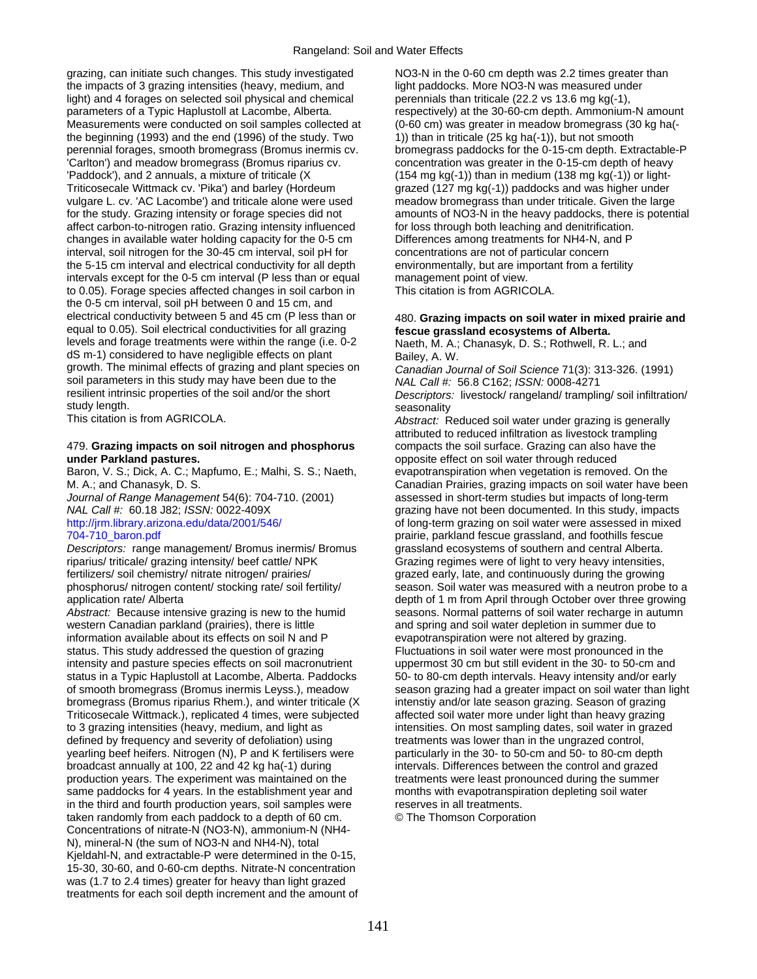grazing, can initiate such changes. This study investigated NO3-N in the 0-60 cm depth was 2.2 times greater than the impacts of 3 grazing intensities (heavy, medium, and light paddocks. More NO3-N was measured under light) and 4 forages on selected soil physical and chemical perennials than triticale (22.2 vs 13.6 mg kg(-1), light) and 4 forages on selected soil physical and chemical parameters of a Typic Haplustoll at Lacombe, Alberta. Measurements were conducted on soil samples collected at (0-60 cm) was greater in meadow bromegrass (30 kg ha(the beginning (1993) and the end (1996) of the study. Two 1)) than in triticale (25 kg ha(-1)), but not smooth perennial forages, smooth bromegrass (Bromus inermis cv. bromegrass paddocks for the 0-15-cm depth. Extractable-P 'Carlton') and meadow bromegrass (Bromus riparius cv. concentration was greater in the 0-15-cm depth of heavy 'Paddock'), and 2 annuals, a mixture of triticale (X (154 mg kg(-1)) than in medium (138 mg kg(-1)) or light-Triticosecale Wittmack cv. 'Pika') and barley (Hordeum grazed (127 mg kg(-1)) paddocks and was higher under vulgare L. cv. 'AC Lacombe') and triticale alone were used meadow bromegrass than under triticale. Given the large for the study. Grazing intensity or forage species did not amounts of NO3-N in the heavy paddocks, there is potential affect carbon-to-nitrogen ratio. Grazing intensity influenced for loss through both leaching and denitrification.<br>
changes in available water holding capacity for the 0-5 cm Differences among treatments for NH4-N, and P changes in available water holding capacity for the 0-5 cm interval, soil nitrogen for the 30-45 cm interval, soil pH for concentrations are not of particular concern the 5-15 cm interval and electrical conductivity for all depth environmentally, but are important from a fertility intervals except for the 0-5 cm interval (P less than or equal management point of view. intervals except for the 0-5 cm interval (P less than or equal management point of view.<br>to 0.05). Forage species affected changes in soil carbon in This citation is from AGRICOLA. to 0.05). Forage species affected changes in soil carbon in the 0-5 cm interval, soil pH between 0 and 15 cm, and electrical conductivity between 5 and 45 cm (P less than or 480. **Grazing impacts on soil water in mixed prairie and**  equal to 0.05). Soil electrical conductivities for all grazing **fescue grassland ecosystems of Alberta.**  levels and forage treatments were within the range (i.e. 0-2 Naeth, M. A.; Chanasyk, D. S.; Rothwell, R. L.; and dS m-1) considered to have negligible effects on plant Bailey, A. W. growth. The minimal effects of grazing and plant species on *Canadian Journal of Soil Science* 71(3): 313-326. (1991) soil parameters in this study may have been due to the *NAL Call #:* 56.8 C162; *ISSN:* 0008-4271<br>resilient intrinsic properties of the soil and/or the short *Descriptors:* livestock/ rangeland/ tramplin study length.<br>This citation is from AGRICOLA.<br>Abstract: R

### 479. **Grazing impacts on soil nitrogen and phosphorus** compacts the soil surface. Grazing can also have the **under Parkland pastures.** opposite effect on soil water through reduced

Baron, V. S.; Dick, A. C.; Mapfumo, E.; Malhi, S. S.; Naeth, evapotranspiration when vegetation is removed. On the

*Descriptors:* range management/ Bromus inermis/ Bromus grassland ecosystems of southern and central Alberta. riparius/ triticale/ grazing intensity/ beef cattle/ NPK Grazing regimes were of light to very heavy intensities, fertilizers/ soil chemistry/ nitrate nitrogen/ prairies/ grazed early, late, and continuously during the growing

*Abstract:* Because intensive grazing is new to the humid seasons. Normal patterns of soil water recharge in autumn western Canadian parkland (prairies), there is little and spring and soil water depletion in summer due to information available about its effects on soil N and P evapotranspiration were not altered by grazing. status. This study addressed the question of grazing Fluctuations in soil water were most pronounced in the intensity and pasture species effects on soil macronutrient uppermost 30 cm but still evident in the 30- to 50-cm and status in a Typic Haplustoll at Lacombe, Alberta. Paddocks 50- to 80-cm depth intervals. Heavy intensity and/or early bromegrass (Bromus riparius Rhem.), and winter triticale (X intenstiy and/or late season grazing. Season of grazing Triticosecale Wittmack.), replicated 4 times, were subjected affected soil water more under light than heavy grazing to 3 grazing intensities (heavy, medium, and light as intensities. On most sampling dates, soil water in grazed defined by frequency and severity of defoliation) using treatments was lower than in the ungrazed control, yearling beef heifers. Nitrogen (N), P and K fertilisers were particularly in the 30- to 50-cm and 50- to 80-cm depth broadcast annually at 100, 22 and 42 kg ha(-1) during intervals. Differences between the control and grazed production years. The experiment was maintained on the treatments were least pronounced during the summer same paddocks for 4 years. In the establishment year and months with evapotranspiration depleting soil water in the third and fourth production years, soil samples were reserves in all treatments.<br>
taken randomly from each paddock to a depth of 60 cm. **C** The Thomson Corporation taken randomly from each paddock to a depth of 60 cm. Concentrations of nitrate-N (NO3-N), ammonium-N (NH4- N), mineral-N (the sum of NO3-N and NH4-N), total Kjeldahl-N, and extractable-P were determined in the 0-15, 15-30, 30-60, and 0-60-cm depths. Nitrate-N concentration was (1.7 to 2.4 times) greater for heavy than light grazed treatments for each soil depth increment and the amount of

respectively) at the 30-60-cm depth. Ammonium-N amount

Descriptors: livestock/ rangeland/ trampling/ soil infiltration/

Abstract: Reduced soil water under grazing is generally attributed to reduced infiltration as livestock trampling M. A.; and Chanasyk, D. S. Canadian Prairies, grazing impacts on soil water have been *Journal of Range Management* 54(6): 704-710. (2001) assessed in short-term studies but impacts of long-term *NAL Call #:* 60.18 J82; *ISSN:* 0022-409X grazing have not been documented. In this study, impacts<br>http://irm.library.arizona.edu/data/2001/546/ **http://irm.library.arizona.edu/data/2001/546/** of long-term grazing on soil of long-term grazing on soil water were assessed in mixed 704-710\_baron.pdf prairie, parkland fescue grassland, and foothills fescue phosphorus/ nitrogen content/ stocking rate/ soil fertility/ season. Soil water was measured with a neutron probe to a application rate/ Alberta depth of 1 m from April through October over three growing of smooth bromegrass (Bromus inermis Leyss.), meadow season grazing had a greater impact on soil water than light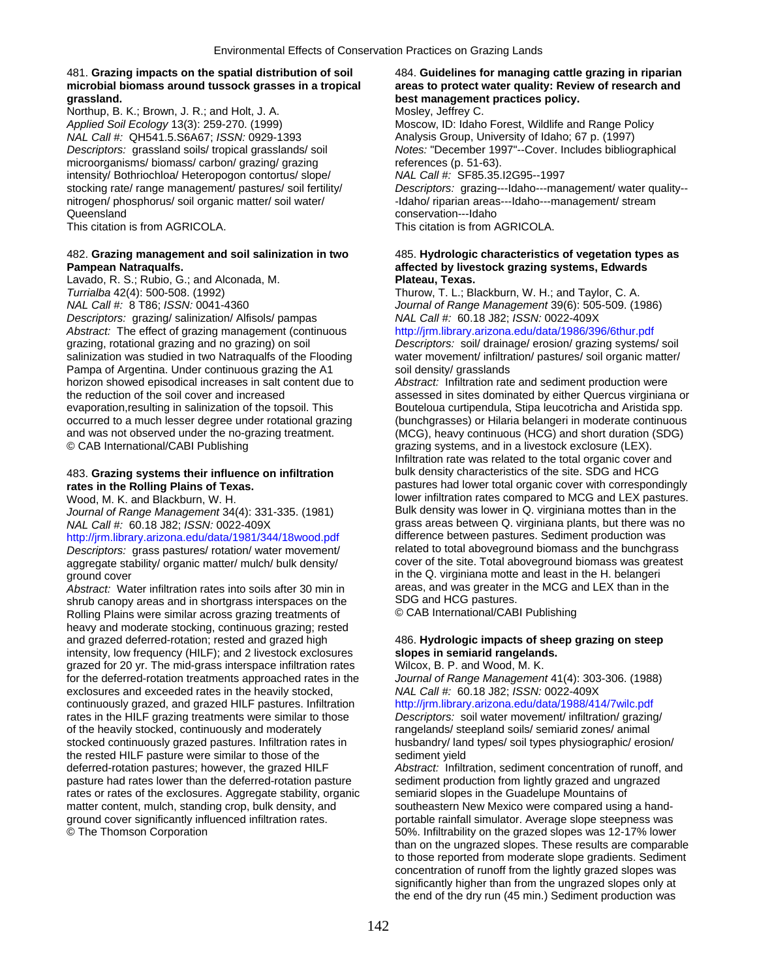## 481. **Grazing impacts on the spatial distribution of soil** 484. **Guidelines for managing cattle grazing in riparian microbial biomass around tussock grasses in a tropical areas to protect water quality: Review of research and**

Northup, B. K.; Brown, J. R.; and Holt, J. A. **Mosley, Jeffrey C.** Mosley, Jeffrey C. *Applied Soil Ecology* 13(3): 259-270. (1999) Moscow, ID: Idaho Forest, Wildlife and Range Policy *NAL Call #:* QH541.5.S6A67; *ISSN:* 0929-1393 Analysis Group, University of Idaho; 67 p. (1997) microorganisms/ biomass/ carbon/ grazing/ grazing references (p. 51-63). intensity/ Bothriochloa/ Heteropogon contortus/ slope/ *NAL Call #:* SF85.35.I2G95--1997 nitrogen/ phosphorus/ soil organic matter/ soil water/ - - Idaho/ riparian areas---Idaho---management/ stream Queensland conservation---Idaho

# **Pampean Natraqualfs. affected by livestock grazing systems, Edwards**

Lavado, R. S.; Rubio, G.; and Alconada, M. **Plateau, Texas.**  *Turrialba* 42(4): 500-508. (1992) Thurow, T. L.; Blackburn, W. H.; and Taylor, C. A.<br>19 *NAL Call #:* 8 T86; *ISSN:* 0041-4360 *Thurow, T. L.; Blackburn, W. H.; and Taylor, C. A. Descriptors:* grazing/ salinization/ Alfisols/ pampas *NAL Call #:* 60.18 J82; *ISSN:* 0022-409X *Abstract:* The effect of grazing management (continuous <http://jrm.library.arizona.edu/data/1986/396/6thur.pdf> grazing, rotational grazing and no grazing) on soil *Descriptors:* soil/ drainage/ erosion/ grazing systems/ soil salinization was studied in two Natraqualfs of the Flooding water movement/ infiltration/ pastures/ soil organic matter/ Pampa of Argentina. Under continuous grazing the A1 soil density/ grasslands horizon showed episodical increases in salt content due to *Abstract:* Infiltration rate and sediment production were © CAB International/CABI Publishing example and international grazing systems, and in a livestock exclosure (LEX).

aggregate stability/ organic matter/ mulch/ bulk density/

*Abstract:* Water infiltration rates into soils after 30 min in areas, and was greater in the MCG pastures.<br>
SDG and HCG pastures. shrub canopy areas and in shortgrass interspaces on the SDG and HCG pastures.<br>Rolling Plains were similar across grazing treatments of CAB International/CABI Publishing Rolling Plains were similar across grazing treatments of heavy and moderate stocking, continuous grazing; rested<br>and grazed deferred-rotation; rested and grazed high intensity, low frequency (HILF); and 2 livestock exclosures **slopes in semiarid rangelands.**  grazed for 20 yr. The mid-grass interspace infiltration rates Wilcox, B. P. and Wood, M. K. for the deferred-rotation treatments approached rates in the *Journal of Range Management* 41(4): 303-306. (1988) exclosures and exceeded rates in the heavily stocked, *NAL Call #:* 60.18 J82; *ISSN:* 0022-409X continuously grazed, and grazed HILF pastures. Infiltration <http://jrm.library.arizona.edu/data/1988/414/7wilc.pdf> rates in the HILF grazing treatments were similar to those *Descriptors:* soil water movement/ infiltration/ grazing/ of the heavily stocked, continuously and moderately rangelands/ steepland soils/ semiarid zones/ animal stocked continuously grazed pastures. Infiltration rates in husbandry/ land types/ soil types physiographic/ erosion/ the rested HILF pasture were similar to those of the sediment yield<br>deferred-rotation pastures; however, the grazed HILF Abstract: Infiltr pasture had rates lower than the deferred-rotation pasture sediment production from lightly grazed and ungrazed<br>
rates or rates of the exclosures. Aggregate stability, organic semiarid slopes in the Guadelupe Mountains of rates or rates of the exclosures. Aggregate stability, organic matter content, mulch, standing crop, bulk density, and southeastern New Mexico were compared using a handground cover significantly influenced infiltration rates. portable rainfall simulator. Average slope steepness was © The Thomson Corporation 60% infiltrability on the grazed slopes was 12-17% lower

# **grassland. best management practices policy.**

*Descriptors:* grassland soils/ tropical grasslands/ soil *Notes:* "December 1997"--Cover. Includes bibliographical stocking rate/ range management/ pastures/ soil fertility/ *Descriptors:* grazing---Idaho---management/ water quality-- This citation is from AGRICOLA. This citation is from AGRICOLA.

# 482. **Grazing management and soil salinization in two** 485. **Hydrologic characteristics of vegetation types as**

*Journal of Range Management* 39(6): 505-509. (1986)

the reduction of the soil cover and increased assessed in sites dominated by either Quercus virginiana or evaporation, resulting in salinization of the topsoil. This Bouteloua curtipendula, Stipa leucotricha and Aristida spp. occurred to a much lesser degree under rotational grazing (bunchgrasses) or Hilaria belangeri in moderate continuous and was not observed under the no-grazing treatment. (MCG), heavy continuous (HCG) and short duration (SDG) Infiltration rate was related to the total organic cover and 483. **Grazing systems their influence on infiltration** bulk density characteristics of the site. SDG and HCG **rates in the Rolling Plains of Texas. pastures had lower total organic cover with correspondingly** Wood, M. K. and Blackburn, W. H. lower infiltration rates compared to MCG and LEX pastures. *Journal of Range Management* 34(4): 331-335. (1981) Bulk density was lower in Q. virginiana mottes than in the *NAL Call #:* 60.18 J82; *ISSN:* 0022-409X grass areas between Q. virginiana plants, but there was no<br>http://irm.library.arizona.edu/data/1981/344/18wood.pdf difference between pastures. Sediment production was <http://jrm.library.arizona.edu/data/1981/344/18wood.pdf>difference between pastures. Sediment production was<br>Descriptors: grass pastures/ rotation/ water movement/ related to total aboveground biomass and the bunchgrass *Descriptors:* grass pastures/ rotation/ water movement/ related to total aboveground biomass and the bunchgrass<br>
aggregate stability/ organic matter/ mulch/ bulk density/ cover of the site. Total aboveground biomass was g ground cover<br>
Abstract: Water infiltration rates into soils after 30 min in areas, and was greater in the MCG and LEX than in the

# 486. Hydrologic impacts of sheep grazing on steep

Abstract: Infiltration, sediment concentration of runoff, and than on the ungrazed slopes. These results are comparable to those reported from moderate slope gradients. Sediment concentration of runoff from the lightly grazed slopes was significantly higher than from the ungrazed slopes only at the end of the dry run (45 min.) Sediment production was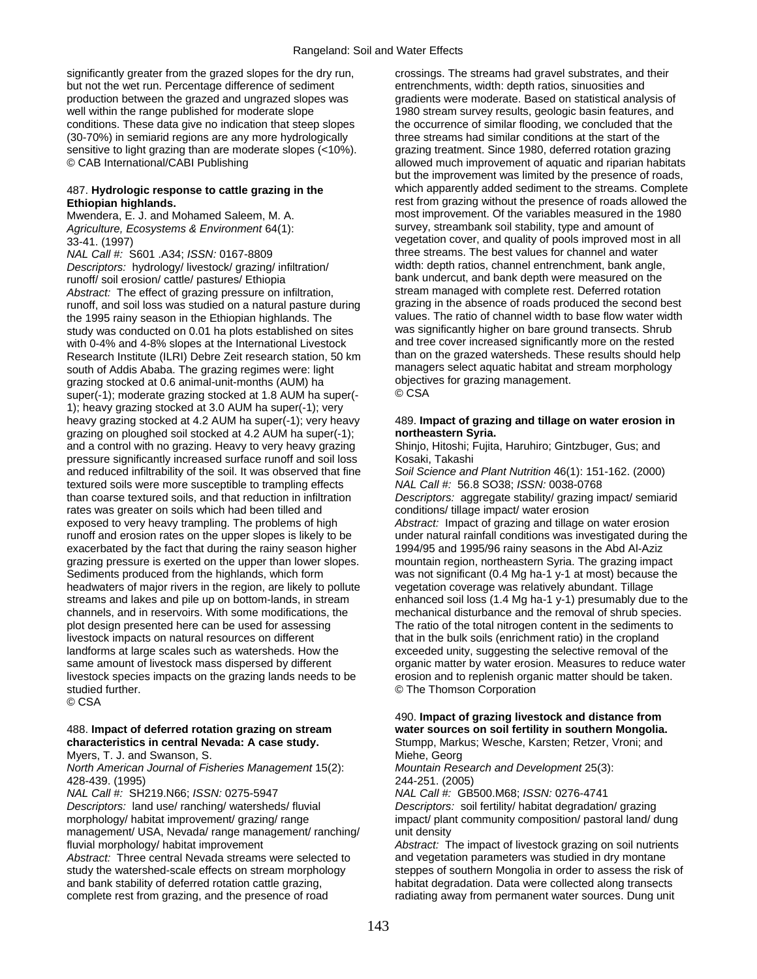significantly greater from the grazed slopes for the dry run, crossings. The streams had gravel substrates, and their but not the wet run. Percentage difference of sediment entrenchments, width: depth ratios, sinuosities and production between the grazed and ungrazed slopes was gradients were moderate. Based on statistical analysis of<br>well within the range published for moderate slope 1980 stream survey results, geologic basin features, and conditions. These data give no indication that steep slopes the occurrence of similar flooding, we concluded that the (30-70%) in semiarid regions are any more hydrologically three streams had similar conditions at the start of the sensitive to light grazing than are moderate slopes (<10%). grazing treatment. Since 1980, deferred rotation grazing © CAB International/CABI Publishing allowed much improvement of aquatic and riparian habitats

Mwendera, E. J. and Mohamed Saleem, M. A.

*NAL Call #:* S601 .A34; *ISSN:* 0167-8809 three streams. The best values for channel and water<br>Descriptors: hydrology/livestock/grazing/infiltration/ width: depth ratios, channel entrenchment, bank angle, *Descriptors:* hydrology/ livestock/ grazing/ infiltration/ runoff/ soil erosion/ cattle/ pastures/ Ethiopia bank undercut, and bank depth were measured on the depth were measured on the depth were measured on the depth were measured on the depth of grazing pressure on infiltration *Abstract:* The effect of grazing pressure on infiltration, stream managed with complete rest. Deferred rotation<br>Funoff and soil loss was studied on a natural pasture during or a grazing in the absence of roads produced th runoff, and soil loss was studied on a natural pasture during grazing in the absence of roads produced the second best<br>the 1995 rainy season in the Ethiopian highlands. The studies. The ratio of channel width to base flow the 1995 rainy season in the Ethiopian highlands. The values. The ratio of channel width to base flow water wid<br>study was conducted on 0.01 ha plots established on sites was significantly higher on bare ground transects. S study was conducted on 0.01 ha plots established on sites was significantly higher on bare ground transects. Shrub<br>with 0-4% and 4-8% slopes at the International Livestock and tree cover increased significantly more on the with 0-4% and 4-8% slopes at the International Livestock and tree cover increased significantly more on the rested<br>Research Institute (II RI) Debre Zeit research station, 50 km than on the grazed watersheds. These results Research Institute (ILRI) Debre Zeit research station, 50 km than on the grazed watersheds. These results should hel<br>south of Addis Ababa. The grazing regimes were: light managers select aquatic habitat and stream morpholo south of Addis Ababa. The grazing regimes were: light managers select aquatic habitat and strazing stocked at 0.6 animal-unit-months (AUM) ha grazing stocked at 0.6 animal-unit-months (AUM) ha **objectively** objective objectives for grazing stocked at 1.8 AUM has super( $\cdot$   $\circ$  CSA super(-1); moderate grazing stocked at 1.8 AUM ha super(-1); heavy grazing stocked at 3.0 AUM ha super(-1); very heavy grazing stocked at 4.2 AUM ha super(-1); very heavy 489. **Impact of grazing and tillage on water erosion in**  grazing on ploughed soil stocked at 4.2 AUM ha super(-1); **northeastern Syria.**  and a control with no grazing. Heavy to very heavy grazing Shinjo, Hitoshi; Fujita, Haruhiro; Gintzbuger, Gus; and pressure significantly increased surface runoff and soil loss Kosaki, Takashi and reduced infiltrability of the soil. It was observed that fine *Soil Science and Plant Nutrition* 46(1): 151-162. (2000) textured soils were more susceptible to trampling effects *NAL Call #:* 56.8 SO38; *ISSN:* 0038-0768 rates was greater on soils which had been tilled and conditions/ tillage impact/ water erosion exposed to very heavy trampling. The problems of high *Abstract:* Impact of grazing and tillage on water erosion runoff and erosion rates on the upper slopes is likely to be under natural rainfall conditions was investigated during the exacerbated by the fact that during the rainy season higher 1994/95 and 1995/96 rainy seasons in the Abd Al-Aziz grazing pressure is exerted on the upper than lower slopes. mountain region, northeastern Syria. The grazing impact Sediments produced from the highlands, which form was not significant (0.4 Mg ha-1 y-1 at most) because the headwaters of major rivers in the region, are likely to pollute vegetation coverage was relatively abundant. Tillage streams and lakes and pile up on bottom-lands, in stream enhanced soil loss (1.4 Mg ha-1 y-1) presumably due to the channels, and in reservoirs. With some modifications, the mechanical disturbance and the removal of shrub species. plot design presented here can be used for assessing The ratio of the total nitrogen content in the sediments to livestock impacts on natural resources on different that in the bulk soils (enrichment ratio) in the cropland landforms at large scales such as watersheds. How the exceeded unity, suggesting the selective removal of the same amount of livestock mass dispersed by different organic matter by water erosion. Measures to reduce water livestock species impacts on the grazing lands needs to be erosion and to replenish organic matter should be taken. studied further. © The Thomson Corporation

© CSA

*North American Journal of Fisheries Management* 15(2): *Mountain Research and Development* 25(3): 428-439. (1995) 244-251. (2005)

*NAL Call #:* SH219.N66; *ISSN:* 0275-5947 *NAL Call #:* GB500.M68; *ISSN:* 0276-4741 *Descriptors:* land use/ ranching/ watersheds/ fluvial *Descriptors:* soil fertility/ habitat degradation/ grazing morphology/ habitat improvement/ grazing/ range impact/ plant community composition/ pastoral land/ dung management/ USA, Nevada/ range management/ ranching/ unit density fluvial morphology/ habitat improvement *Abstract:* The impact of livestock grazing on soil nutrients *Abstract:* Three central Nevada streams were selected to and vegetation parameters was studied in dry montane study the watershed-scale effects on stream morphology steppes of southern Mongolia in order to assess the risk of and bank stability of deferred rotation cattle grazing, habitat degradation. Data were collected along transects complete rest from grazing, and the presence of road radiating away from permanent water sources. Dung unit

1980 stream survey results, geologic basin features, and but the improvement was limited by the presence of roads, 487. **Hydrologic response to cattle grazing in the** which apparently added sediment to the streams. Complete **Ethiopian highlands.**<br>
Mwendera, F. J. and Mohamed Saleem, M. A. **rest from grazing without the presence of roads allowed the 1980** *Agriculture, Ecosystems & Environment* 64(1): survey, streambank soil stability, type and amount of 33-41. (1997) 33-41. (1997) vegetation cover, and quality of pools improved most in all

Descriptors: aggregate stability/ grazing impact/ semiarid

### 490. **Impact of grazing livestock and distance from**  488. **Impact of deferred rotation grazing on stream water sources on soil fertility in southern Mongolia. characteristics in central Nevada: A case study.** Stumpp, Markus; Wesche, Karsten; Retzer, Vroni; and

Myers, T. J. and Swanson, S.<br>
North American Journal of Fisheries Management 15(2): Mountain Research and Development 25(3):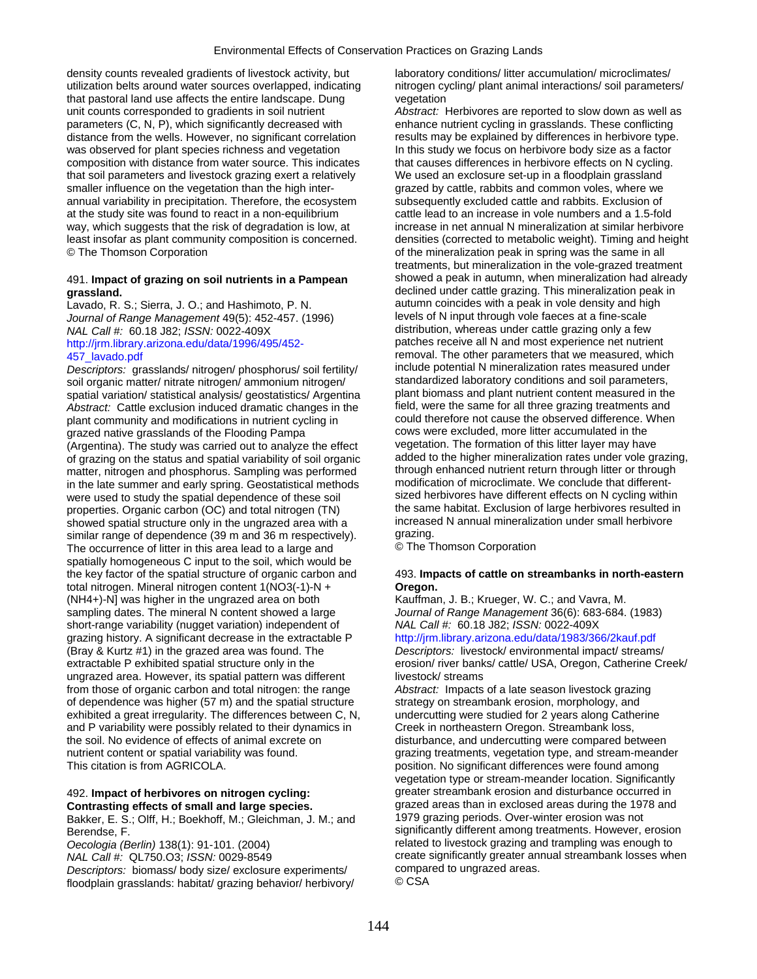density counts revealed gradients of livestock activity, but laboratory conditions/ litter accumulation/ microclimates/ utilization belts around water sources overlapped, indicating nitrogen cycling/ plant animal interactions/ soil parameters/ that pastoral land use affects the entire landscape. Dung vegetation unit counts corresponded to gradients in soil nutrient *Abstract:* Herbivores are reported to slow down as well as parameters (C, N, P), which significantly decreased with enhance nutrient cycling in grasslands. These conflicting distance from the wells. However, no significant correlation results may be explained by differences in herbivore type. was observed for plant species richness and vegetation In this study we focus on herbivore body size as a factor composition with distance from water source. This indicates that causes differences in herbivore effects on N cycling. that soil parameters and livestock grazing exert a relatively We used an exclosure set-up in a floodplain grassland smaller influence on the vegetation than the high inter- grazed by cattle, rabbits and common voles, where we annual variability in precipitation. Therefore, the ecosystem subsequently excluded cattle and rabbits. Exclusion of at the study site was found to react in a non-equilibrium cattle lead to an increase in vole numbers and a 1.5-fold<br>way, which suggests that the risk of degradation is low, at increase in net annual N mineralization at sim way, which suggests that the risk of degradation is low, at least insofar as plant community composition is concerned. densities (corrected to metabolic weight). Timing and height © The Thomson Corporation of the mineralization peak in spring was the same in all

Lavado, R. S.; Sierra, J. O.; and Hashimoto, P. N. autumn coincides with a peak in vole density and higher and<br>Lournal of Range Management 49(5): 452-457 (1996) levels of N input through vole faeces at a fine-scale *Journal of Range Management* 49(5): 452-457. (1996) [http://jrm.library.arizona.edu/data/1996/495/452-](http://jrm.library.arizona.edu/data/1996/495/452-457_lavado.pdf)

*Descriptors:* grasslands/ nitrogen/ phosphorus/ soil fertility/ include potential N mineralization rates measured under soil organic matter/ nitrate nitrogen/ ammonium nitrogen/ standardized laboratory conditions and soil parameters,<br>spatial variation/ statistical analysis/ geostatistics/ Argentina plant biomass and plant nutrient content m spatial variation/ statistical analysis/ geostatistics/ Argentina plant biomass and plant nutrient content measured in the<br>Abstract: Cattle exclusion induced dramatic changes in the field, were the same for all three grazi *Abstract:* Cattle exclusion induced dramatic changes in the field, were the same for all three grazing treatments and<br>nlant community and modifications in putrient cycling in a could therefore not cause the observed diffe plant community and modifications in nutrient cycling in could therefore not cause the observed difference. When  $\alpha$  cause the observed difference. When  $\alpha$  could the could the council at the council at the council at th grazed native grasslands of the Flooding Pampa<br>(Argentina) The study was carried out to analyze the effect vegetation. The formation of this litter layer may have (Argentina). The study was carried out to analyze the effect vegetation. The formation of this litter layer may have<br>of grazing on the status and spatial variability of soil organic added to the higher mineralization rates of grazing on the status and spatial variability of soil organic added to the higher mineralization rates under vole grazing,<br>matter, nitrogen and phosphorus. Sampling was performed through enhanced nutrient return through matter, nitrogen and phosphorus. Sampling was performed through enhanced nutrient return through litter or through<br>in the late summer and early spring. Geostatistical methods modification of microclimate. We conclude that in the late summer and early spring. Geostatistical methods modification of microclimate. We conclude that different-<br>were used to study the spatial dependence of these soil sized herbivores have different effects on N cyc were used to study the spatial dependence of these soil sized herbivores have different effects on N cycling within<br>properties Organic carbon (OC) and total nitrogen (TN) the same habitat. Exclusion of large herbivores res properties. Organic carbon (OC) and total nitrogen (TN) the same habitat. Exclusion of large herbivores resulted in<br>showed spatial structure only in the ungrazed area with a sincreased N annual mineralization under small h showed spatial structure only in the ungrazed area with a increase<br>similar range of dependence (39 m and 36 m respectively). grazing. similar range of dependence (39 m and 36 m respectively). grazing.<br>The occurrence of litter in this area lead to a large and **C** The Thomson Corporation The occurrence of litter in this area lead to a large and spatially homogeneous C input to the soil, which would be the key factor of the spatial structure of organic carbon and 493. **Impacts of cattle on streambanks in north-eastern**  total nitrogen. Mineral nitrogen content 1(NO3(-1)-N + **Oregon.**  (NH4+)-N] was higher in the ungrazed area on both Kauffman, J. B.; Krueger, W. C.; and Vavra, M. sampling dates. The mineral N content showed a large *Journal of Range Management* 36(6): 683-684. (1983)<br>short-range variability (nugget variation) independent of MAL Call #: 60.18 J82; ISSN: 0022-409X short-range variability (nugget variation) independent of *NAL Call #:* 60.18 J82; *ISSN:* 0022-409X grazing history. A significant decrease in the extractable P (Bray & Kurtz #1) in the grazed area was found. The *Descriptors:* livestock/ environmental impact/ streams/ extractable P exhibited spatial structure only in the erosion/ river banks/ cattle/ USA, Oregon, Catherine Creek/ ungrazed area. However, its spatial pattern was different livestock/ streams from those of organic carbon and total nitrogen: the range *Abstract:* Impacts of a late season livestock grazing of dependence was higher (57 m) and the spatial structure strategy on streambank erosion, morphology, and exhibited a great irregularity. The differences between C, N, undercutting were studied for 2 years along Catherine and P variability were possibly related to their dynamics in Creek in northeastern Oregon. Streambank loss, the soil. No evidence of effects of animal excrete on disturbance, and undercutting were compared between nutrient content or spatial variability was found. grazing treatments, vegetation type, and stream-meander This citation is from AGRICOLA. position. No significant differences were found among

Bakker, E. S.; Olff, H.; Boekhoff, M.; Gleichman, J. M.; and Berendse, F. Significantly different among treatments. However, erosion

*Descriptors:* biomass/ body size/ exclosure experiments/ compared areas.<br>
floodplain grasslands: habitat/ grazing behavior/ herbivory/ CCSA floodplain grasslands: habitat/ grazing behavior/ herbivory/

treatments, but mineralization in the vole-grazed treatment 491. **Impact of grazing on soil nutrients in a Pampean** showed a peak in autumn, when mineralization had already **grassland. grassland. declined under cattle grazing. This mineralization peak in**  $\alpha$  is not the seak in  $\alpha$  is not the seak in  $\alpha$  is not the seak in  $\alpha$  is not the seak in  $\alpha$  is not the seak in  $\alpha$  is not the *NAL Call #:* 60.18 J82; *ISSN:* 0022-409X<br>http://irm.library.arizona.edu/data/1996/495/452-<br>patches receive all N and most experience net nutrient [457\\_lavado.pdf](http://jrm.library.arizona.edu/data/1996/495/452-457_lavado.pdf)<br>
Descriptors: grasslands/nitrogen/phosphorus/soil fertility/ removal. The other parameters that we measured under<br>
Descriptors: grasslands/nitrogen/phosphorus/soil fertility/ include potential N mineralizati

vegetation type or stream-meander location. Significantly 492. **Impact of herbivores on nitrogen cycling:** greater streambank erosion and disturbance occurred in **Contrasting effects of small and large species.** grazed areas than in exclosed areas during the 1978 and Bakker, F. S.: Olff. H.: Boekhoff. M.: Gleichman, J. M.: and 1979 grazing periods. Over-winter erosion was not *Oecologia (Berlin)* 138(1): 91-101. (2004) related to livestock grazing and trampling was enough to *NAL Call #:* QL750.O3; *ISSN:* 0029-8549 create significantly greater annual streambank losses when<br> *Descriptors:* biomass/ body size/ exclosure experiments/ compared to ungrazed areas.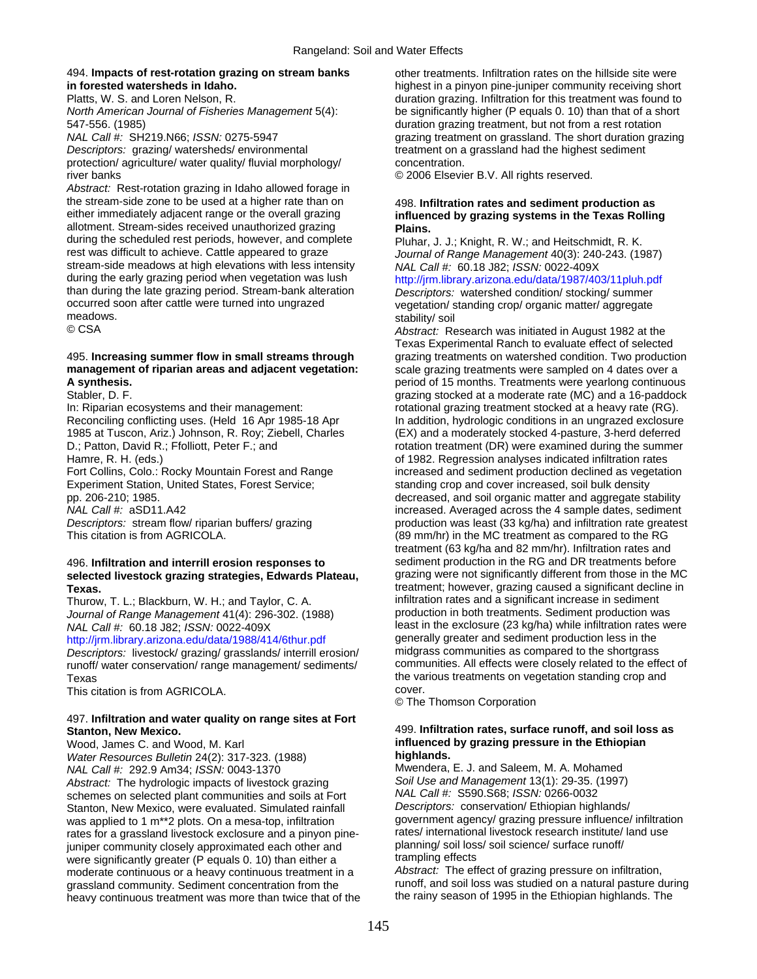## 494. **Impacts of rest-rotation grazing on stream banks** other treatments. Infiltration rates on the hillside site were

547-556. (1985) duration grazing treatment, but not from a rest rotation

Descriptors: grazing/ watersheds/ environmental treatment on a grassland had the highest sediment protection/ agriculture/ water quality/ fluvial morphology/ concentration. river banks © 2006 Elsevier B.V. All rights reserved.

*Abstract:* Rest-rotation grazing in Idaho allowed forage in the stream-side zone to be used at a higher rate than on 498. **Infiltration rates and sediment production as**<br>
either immediately adjacent range or the overall grazing **influenced by grazing systems in the Texas Rollin** allotment. Stream-sides received unauthorized grazing **Plains.**  during the scheduled rest periods, however, and complete Pluhar, J. J.; Knight, R. W.; and Heitschmidt, R. K.<br>
rest was difficult to achieve. Cattle appeared to graze Journal of Range Management 40(3): 240-243. stream-side meadows at high elevations with less intensity *NAL Call #:* 60.18 J82; *ISSN:* 0022-409X<br>during the early grazing period when vegetation was lush http://irm.library.arizona.edu/data/1987/40 than during the late grazing period. Stream-bank alteration *Descriptors:* watershed condition/ stocking/ summer occurred soon after cattle were turned into ungrazed vegetation/ standing crop/ organic matter/ aggregate<br>
stability/ soil meadows. stability/ soil

# **management of riparian areas and adjacent vegetation:** scale grazing treatments were sampled on 4 dates over a

Experiment Station, United States, Forest Service; standing crop and cover increased, soil bulk density<br>pp. 206-210; 1985. decreased, and soil organic matter and aggregate st

# selected livestock grazing strategies, Edwards Plateau,

*Journal of Range Management* 41(4): 296-302. (1988)<br>NAL Call #: 60.18 J82: ISSN: 0022-409X

<http://jrm.library.arizona.edu/data/1988/414/6thur.pdf>generally greater and sediment production less in the<br>Descriptors: livestock/ grazing/ grasslands/ interrill erosion/ midgrass communities as compared to the shortgras runoff/ water conservation/ range management/ sediments/

This citation is from AGRICOLA.

### 497. **Infiltration and water quality on range sites at Fort Stanton, New Mexico.** 499. **Infiltration rates, surface runoff, and soil loss as**

Wood, James C. and Wood, M. Karl **influenced by grazing pressure in the Ethiopian**<br>Water Resources Bulletin 24(2): 317-323. (1988) **influenced by grazing pressure in the Ethiopian** *Water Resources Bulletin* 24(2): 317-323. (1988) **highlands.**  *NAL Call #:* 292.9 Am34; *ISSN:* 0043-1370 Mwendera, E. J. and Saleem, M. A. Mohamed *Abstract:* The hydrologic impacts of livestock grazing *Soil Use and Management* 13(1): 29-35. (1997) schemes on selected plant communities and soils at Fort *NAL Call #:* S590.S68; *ISSN:* 0266-0032 Stanton, New Mexico, were evaluated. Simulated rainfall *Descriptors:* conservation/ Ethiopian highlands/ was applied to 1 m\*\*2 plots. On a mesa-top, infiltration government agency/ grazing pressure influence/ infiltrati<br>rates for a grassland livestock exclosure and a pinyon pine-<br>rates/ international livestock research instit rates for a grassland livestock exclosure and a pinyon pine- rates/ international livestock research institute/<br>iuniper community closely approximated each other and use planning/ soil loss/ soil science/ surface runoff/ juniper community closely approximated each other and planning/ soil loss<br>were significantly greater (P equals 0, 10) than either a strampling effects were significantly greater (P equals 0. 10) than either a trampling effects<br>moderate continuous or a heavy continuous treatment in a *Abstract:* The effect of grazing pressure on infiltration, grassland community. Sediment concentration from the runoff, and soil loss was studied on a natural pasture duri<br>heavy continuous treatment was more than twice that of the the rainy season of 1995 in the Ethiopian highland heavy continuous treatment was more than twice that of the

**in forested watersheds in Idaho.** highest in a pinyon pine-juniper community receiving short Platts, W. S. and Loren Nelson, R. duration grazing. Infiltration for this treatment was found to *North American Journal of Fisheries Management* 5(4): be significantly higher (P equals 0. 10) than that of a short *NAL Call #:* SH219.N66; *ISSN:* 0275-5947 grazing treatment on grassland. The short duration grazing

# influenced by grazing systems in the Texas Rolling

Journal of Range Management 40(3): 240-243. (1987)

http://jrm.library.arizona.edu/data/1987/403/11pluh.pdf

Abstract: Research was initiated in August 1982 at the Texas Experimental Ranch to evaluate effect of selected 495. **Increasing summer flow in small streams through** grazing treatments on watershed condition. Two production **A synthesis.** period of 15 months. Treatments were yearlong continuous Stabler, D. F. grazing stocked at a moderate rate (MC) and a 16-paddock In: Riparian ecosystems and their management: rotational grazing treatment stocked at a heavy rate (RG). Reconciling conflicting uses. (Held 16 Apr 1985-18 Apr In addition, hydrologic conditions in an ungrazed exclosure 1985 at Tuscon, Ariz.) Johnson, R. Roy; Ziebell, Charles (EX) and a moderately stocked 4-pasture, 3-herd deferred D.; Patton, David R.; Ffolliott, Peter F.; and rotation treatment (DR) were examined during the summer Hamre, R. H. (eds.) of 1982. Regression analyses indicated infiltration rates Fort Collins, Colo.: Rocky Mountain Forest and Range increased and sediment production declined as vegetation decreased, and soil organic matter and aggregate stability *NAL Call #:* aSD11.A42 *NAL Call #:* aSD11.A42 increased. Averaged across the 4 sample dates, sediment production was least (33 kg/ha) and infiltration rate greates production was least (33 kg/ha) and infiltration rate greatest This citation is from AGRICOLA. (89 mm/hr) in the MC treatment as compared to the RG treatment (63 kg/ha and 82 mm/hr). Infiltration rates and 496. **Infiltration and interrill erosion responses to** sediment production in the RG and DR treatments before **Texas.** Texas. The state of the state of the state of the state of the state of the state of the state of the state of the state of the state of the state of the state of the state of the state of the state of the state o Thurow, T. L.; Blackburn, W. H.; and Taylor, C. A. infiltration rates and a significant increase in sediment<br>Journal of Range Management 41(4): 296-302, (1988) [production in both treatments. Sediment production was *NAL Fearries in the exclosure (23 kg/ha)* while infiltration rates were generally greater and sediment production less in the *Descriptors:* livestock/ grazing/ grasslands/ interrill erosion/ midgrass communities as compared to the shortgrass Texas<br>This citation is from AGBICOLA<br>This citation is from AGBICOLA<br>Cover.

© The Thomson Corporation

moderate continuous or a heavy continuous treatment in a *Abstract:* The effect of grazing pressure on infiltration,<br>
grassland community, Sediment concentration from the **runoff**, and soil loss was studied on a natural pa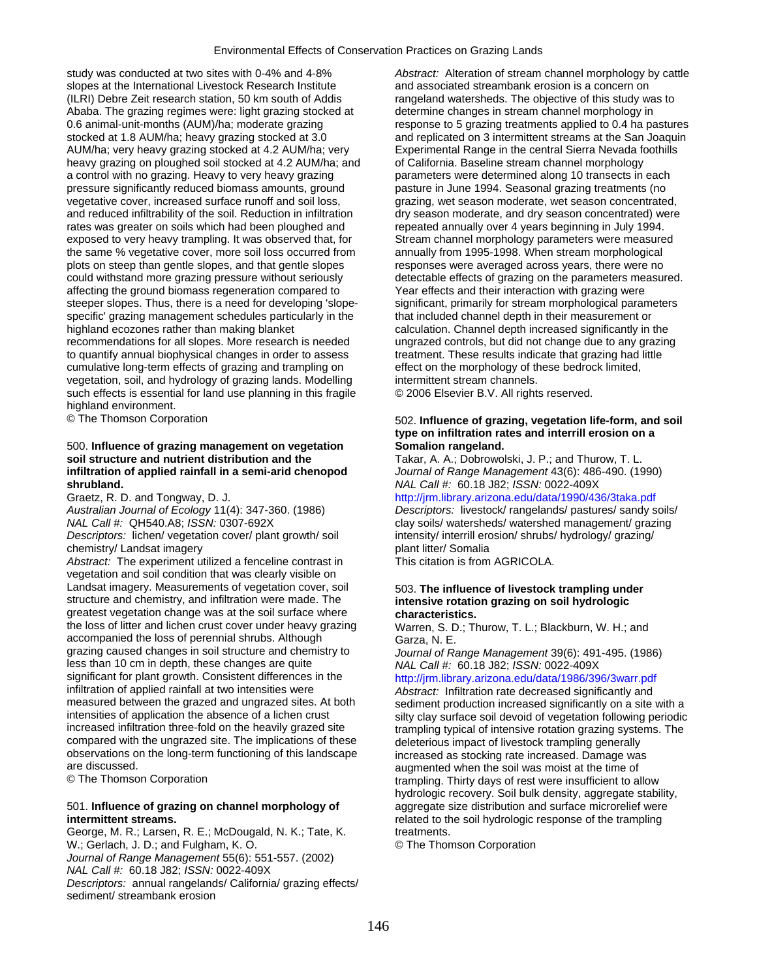study was conducted at two sites with 0-4% and 4-8% *Abstract:* Alteration of stream channel morphology by cattle slopes at the International Livestock Research Institute and associated streambank erosion is a concern on (ILRI) Debre Zeit research station, 50 km south of Addis rangeland watersheds. The objective of this study was to Ababa. The grazing regimes were: light grazing stocked at determine changes in stream channel morphology in 0.6 animal-unit-months (AUM)/ha; moderate grazing response to 5 grazing treatments applied to 0.4 ha pastures stocked at 1.8 AUM/ha; heavy grazing stocked at 3.0 and replicated on 3 intermittent streams at the San Joaquin AUM/ha; very heavy grazing stocked at 4.2 AUM/ha; very Experimental Range in the central Sierra Nevada foothills heavy grazing on ploughed soil stocked at 4.2 AUM/ha; and of California. Baseline stream channel morphology a control with no grazing. Heavy to very heavy grazing parameters were determined along 10 transects in each pressure significantly reduced biomass amounts, ground pasture in June 1994. Seasonal grazing treatments (no vegetative cover, increased surface runoff and soil loss, grazing, wet season moderate, wet season concentrated, and reduced infiltrability of the soil. Reduction in infiltration dry season moderate, and dry season concentrated) were rates was greater on soils which had been ploughed and repeated annually over 4 years beginning in Ju rates was greater on soils which had been ploughed and exposed to very heavy trampling. It was observed that, for Stream channel morphology parameters were measured<br>
the same % vegetative cover, more soil loss occurred from annually from 1995-1998. When stream morphological the same % vegetative cover, more soil loss occurred from plots on steep than gentle slopes, and that gentle slopes responses were averaged across years, there were no<br>could withstand more grazing pressure without seriously detectable effects of grazing on the parameters measur affecting the ground biomass regeneration compared to Year effects and their interaction with grazing were steeper slopes. Thus, there is a need for developing 'slope- significant, primarily for stream morphological parameters specific' grazing management schedules particularly in the that included channel depth in their measurement or highland ecozones rather than making blanket calculation. Channel depth increased significantly in the recommendations for all slopes. More research is needed ungrazed controls, but did not change due to any grazing to quantify annual biophysical changes in order to assess treatment. These results indicate that grazing had little cumulative long-term effects of grazing and trampling on effect on the morphology of these bedrock limited, vegetation, soil, and hydrology of grazing lands. Modelling intermittent stream channels. vegetation, soil, and hydrology of grazing lands. Modelling such effects is essential for land use planning in this fragile  $\heartsuit$  2006 Elsevier B.V. All rights reserved. highland environment.

## 500. **Influence of grazing management on vegetation Somalion rangeland.**<br> **soil structure and nutrient distribution and the Takar, A. A.; Dobrowoll** infiltration of applied rainfall in a semi-arid chenopod<br>shrubland. **shrubland.** *NAL Call #:* 60.18 J82; *ISSN:* 0022-409X

chemistry/ Landsat imagery plant litter/ Somalia

*Abstract:* The experiment utilized a fenceline contrast in This citation is from AGRICOLA. vegetation and soil condition that was clearly visible on Landsat imagery. Measurements of vegetation cover, soil 503. **The influence of livestock trampling under**  structure and chemistry, and infiltration were made. The **intensive rotation grazing on soil hydrologic**  greatest vegetation change was at the soil surface where **characteristics.**  the loss of litter and lichen crust cover under heavy grazing Warren, S. D.; Thurow, T. L.; Blackburn, W. H.; and accompanied the loss of perennial shrubs. Although Garza, N. E. grazing caused changes in soil structure and chemistry to *Journal of Range Management* 39(6): 491-495. (1986) less than 10 cm in depth, these changes are quite *significant* for plant growth. Consistent differences in the significant for plant growth. Consistent differences in the http://jrm.library.arizona.edu/data/1986/396/3warr.pdf<br>infiltration of applied rainfall at two intensities were **http://jrm.library.arizona.edu/data/1986/396/3war** infiltration of applied rainfall at two intensities were *Abstract:* Infiltration rate decreased significantly and measured between the grazed and ungrazed sites. At both sediment production increased significantly on a site with a<br>intensities of application the absence of a lichen crust sitty clay surface soil devoid of vegetation fol compared with the ungrazed site. The implications of these deleterious impact of livestock trampling generally<br>observations on the long-term functioning of this landscape increased as stocking rate increased. Damage was observations on the long-term functioning of this landscape increased as stocking rate increased. Damage was are discussed.

### 501. **Influence of grazing on channel morphology of** aggregate size distribution and surface microrelief were **intermittent streams.** *related* **to the soil hydrologic response of the trampling**

George, M. R.; Larsen, R. E.; McDougald, N. K.; Tate, K. treatments. W.; Gerlach, J. D.; and Fulgham, K. O. **Example 20 Server Constants Corporation** *Journal of Range Management* 55(6): 551-557. (2002) *NAL Call #:* 60.18 J82; *ISSN:* 0022-409X *Descriptors:* annual rangelands/ California/ grazing effects/ sediment/ streambank erosion

detectable effects of grazing on the parameters measured.

## © The Thomson Corporation 502. **Influence of grazing, vegetation life-form, and soil type on infiltration rates and interrill erosion on a**

Takar, A. A.; Dobrowolski, J. P.; and Thurow, T. L.<br>Journal of Range Management 43(6): 486-490. (1990)

Graetz, R. D. and Tongway, D. J. http://jrm.library.arizona.edu/data/1990/436/3taka.pdf<br>Australian Journal of Ecology 11(4): 347-360. (1986) Descriptors: livestock/ rangelands/ pastures/ sandy s *Australian Journal of Ecology* 11(4): 347-360. (1986) *Descriptors:* livestock/ rangelands/ pastures/ sandy soils/ clay soils/ watersheds/ watershed management/ grazing *Descriptors:* lichen/ vegetation cover/ plant growth/ soil intensity/ interrill erosion/ shrubs/ hydrology/ grazing/

intensities of application the absence of a lichen crust silty clay surface soil devoid of vegetation following periodic<br>increased infiltration three-fold on the heavily grazed site trampling typical of intensive rotation trampling typical of intensive rotation grazing systems. The are discussed.<br> **Communisty Communisty Communisty Communisty Communisty Communisty Communisty Communisty Communisty Communisty**<br> **Communisty Communisty Communisty Communisty Communisty Communisty Communisty Communisty Comm** trampling. Thirty days of rest were insufficient to allow hydrologic recovery. Soil bulk density, aggregate stability,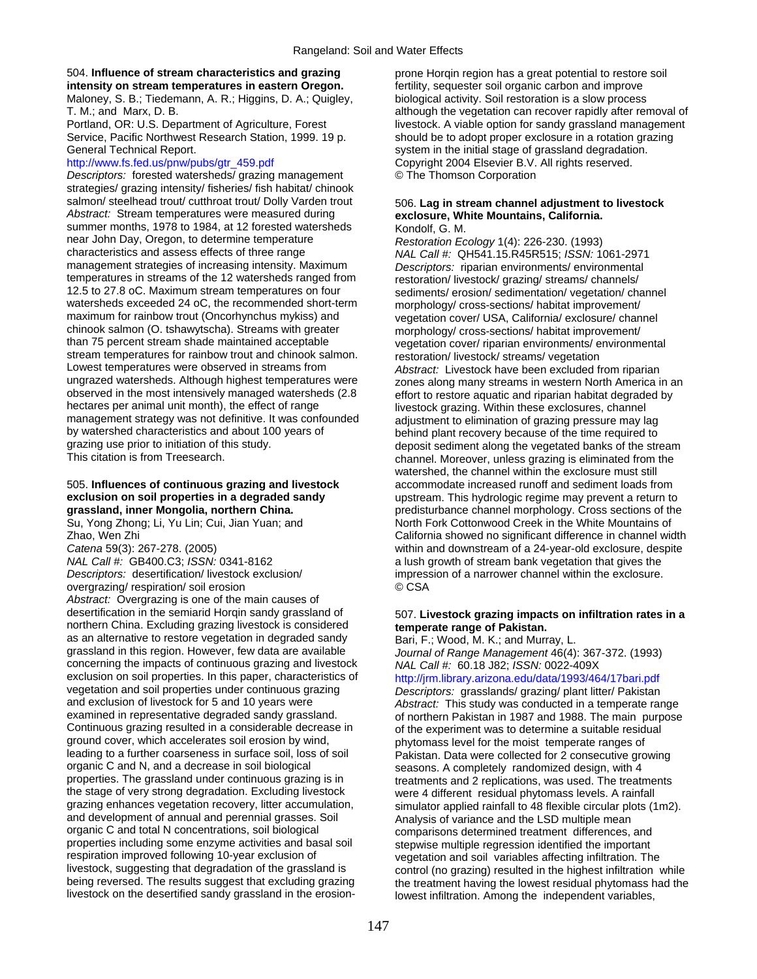### 504. **Influence of stream characteristics and grazing** prone Horqin region has a great potential to restore soil intensity on stream temperatures in eastern Oregon.

General Technical Report. System in the initial stage of grassland degradation.

*Descriptors:* forested watersheds/ grazing management © The Thomson Corporation strategies/ grazing intensity/ fisheries/ fish habitat/ chinook salmon/ steelhead trout/ cutthroat trout/ Dolly Varden trout 506. **Lag in stream channel adjustment to livestock**  *Abstract:* Stream temperatures were measured during **exclosure, White Mountains, California.**  summer months, 1978 to 1984, at 12 forested watersheds Kondolf, G. M. near John Day, Oregon, to determine temperature *Restoration Ecology* 1(4): 226-230. (1993)<br>
characteristics and assess effects of three range *NAI Call # OH541 15 R45R515: ISSN: 1* management strategies of increasing intensity. Maximum *Descriptors:* riparian environments/ environmental<br>
restoration/ livestock/ grazing/ streams/ channels/ temperatures in streams of the 12 watersheds ranged from restoration/ livestock/ grazing/ streams/ channels/<br>12.5 to 27.8 oC. Maximum stream temperatures on four<br>sediments/ erosion/ sedimentation/ vegetation/ cha 12.5 to 27.8 oC. Maximum stream temperatures on four sediments/ erosion/ sedimentation/ vegetation/ channel<br>watersheds exceeded 24 oC, the recommended short-term morphology/ cross-sections/ habitat improvement/ watersheds exceeded 24 oC, the recommended short-term emorphology/ cross-sections/ habitat improvement/<br>maximum for rainbow trout (Oncorhynchus mykiss) and executation cover/ USA California/ exclosure/ chan maximum for rainbow trout (Oncorhynchus mykiss) and vegetation cover/ USA, California/ exclosure/ channel<br>
chinook salmon (O. tshawytscha). Streams with greater morphology/ cross-sections/ habitat improvement/ chinook salmon (O. tshawytscha). Streams with greater morphology/ cross-sections/ habitat improvement/<br>than 75 percent stream shade maintained acceptable vegetation cover/ riparian environments/ environme stream temperatures for rainbow trout and chinook salmon.<br>
Lowest temperatures were observed in streams from *Abstract:* Livestock have been excluded f Lowest temperatures were observed in streams from *Abstract:* Livestock have been excluded from riparian observed in the most intensively managed watersheds (2.8 effort to restore aquatic and riparian habitat degraded by hectares per animal unit month), the effect of range management strategy was not definitive. It was confounded adjustment to elimination of grazing pressure may lag<br>by watershed characteristics and about 100 years of behind plant recovery because of the time required to by watershed characteristics and about 100 years of behind plant recovery because of the time required to<br>deposit sediment along the vegetated banks of the structure of the structure of the structure of the structure grazing use prior to initiation of this study.<br>This citation is from Treesearch. deproduced banks of the stream channel. Moreover unless grazing is eliminated from the

*NAL Call #:* GB400.C3; *ISSN:* 0341-8162 **b** a lush growth of stream bank vegetation that gives the *Descriptors:* desertification/ livestock exclusion/ interestion of a narrower channel within the exclosure. overgrazing/ respiration/ soil erosion © CSA *Abstract:* Overgrazing is one of the main causes of desertification in the semiarid Horqin sandy grassland of 507. **Livestock grazing impacts on infiltration rates in a**  northern China. Excluding grazing livestock is considered **temperate range of Pakistan.**<br>
as an alternative to restore vegetation in degraded sandy **Bari, F.; Wood, M. K.; and Murray, L.** as an alternative to restore vegetation in degraded sandy grassland in this region. However, few data are available concerning the impacts of continuous grazing and livestock *NAL Call #:* 60.18 J82; *ISSN:* 0022-409X exclusion on soil properties. In this paper, characteristics of http://jrm.library.arizona.edu/data/1993/464/17bari.pdf<br>vegetation and soil properties under continuous grazing propertiors: grasslands/ grazing/ plant litter vegetation and soil properties under continuous grazing *Descriptors:* grasslands/ grazing/ plant litter/ Pakistan Continuous grazing resulted in a considerable decrease in of the experiment was to determine a suitable residual ground cover, which accelerates soil erosion by wind, ground cover, which accelerates soil erosion by wind, phytomass level for the moist temperate ranges of<br>leading to a further coarseness in surface soil, loss of soil pakistan. Data were collected for 2 consecutive gro leading to a further coarseness in surface soil, loss of soil Pakistan. Data were collected for 2 consecutive growing<br>
organic C and N, and a decrease in soil biological seasons A completely randomized design with 4 organic C and N, and a decrease in soil biological seasons. A completely randomized design, with 4<br>properties. The grassland under continuous grazing is in the treatments and 2 replications, was used. The treat properties. The grassland under continuous grazing is in treatments and 2 replications, was used. The treatments the stage of very strong degradation. Excluding livestock were 4 different residual phytomass levels. A rainf the stage of very strong degradation. Excluding livestock were 4 different residual phytomass levels. A rainfall<br>grazing enhances vegetation recovery, litter accumulation, simulator applied rainfall to 48 flexible circular and development of annual and perennial grasses. Soil Analysis of variance and the LSD multiple mean<br>
organic C and total N concentrations, soil biological comparisons determined treatment differences. properties including some enzyme activities and basal soil stepwise multiple regression identified the important<br>
respiration improved following 10-year exclusion of vegetation and soil variables affecting infiltration. Th respiration improved following 10-year exclusion of vegetation and soil variables affecting infiltration. The<br>Investock, suggesting that degradation of the grassland is control (no grazing) resulted in the highest infiltra

Maloney, S. B.; Tiedemann, A. R.; Higgins, D. A.; Quigley, biological activity. Soil restoration is a slow process T. M.; and Marx, D. B. **although the vegetation can recover rapidly after removal of** although the vegetation can recover rapidly after removal of Portland, OR: U.S. Department of Agriculture, Forest livestock. A viable option for sandy grassland management Service, Pacific Northwest Research Station, 1999. 19 p. should be to adopt proper exclosure in a rotation grazing [http://www.fs.fed.us/pnw/pubs/gtr\\_459.pdf](http://www.fs.fed.us/pnw/pubs/gtr_459.pdf) Copyright 2004 Elsevier B.V. All rights reserved.

characteristics and assess effects of three range *NAL Call #:* QH541.15.R45R515; *ISSN:* 1061-2971 vegetation cover/ riparian environments/ environmental zones along many streams in western North America in an livestock grazing. Within these exclosures, channel channel. Moreover, unless grazing is eliminated from the watershed, the channel within the exclosure must still 505. **Influences of continuous grazing and livestock** accommodate increased runoff and sediment loads from **exclusion on soil properties in a degraded sandy** explored upstream. This hydrologic regime may prevent a return to **grassland, inner Mongolia, northern China.** predisturbance channel morphology. Cross sections of the predisturbance channel morphology. Cross sections of the Su, Yong Zhong; Li, Yu Lin; Cui, Jian Yuan; and North Fork Cottonwood Creek in the White Mountains of Zhao, Wen Zhi California showed no significant difference in channel width *Catena* 59(3): 267-278. (2005) within and downstream of a 24-year-old exclosure, despite

Journal of Range Management 46(4): 367-372. (1993)

and exclusion of livestock for 5 and 10 years were *Abstract:* This study was conducted in a temperate range of northern Pakistan in 1987 and 1988. The main purpose simulator applied rainfall to 48 flexible circular plots (1m2). comparisons determined treatment differences, and livestock, suggesting that degradation of the grassland is control (no grazing) resulted in the highest infiltration while<br>being reversed. The results suggest that excluding grazing the treatment baying the lowest residual being reversed. The results suggest that excluding grazing the treatment having the lowest residual phytomass had the livestock on the desertified sandy grassland in the erosionlowest infiltration. Among the independent variables,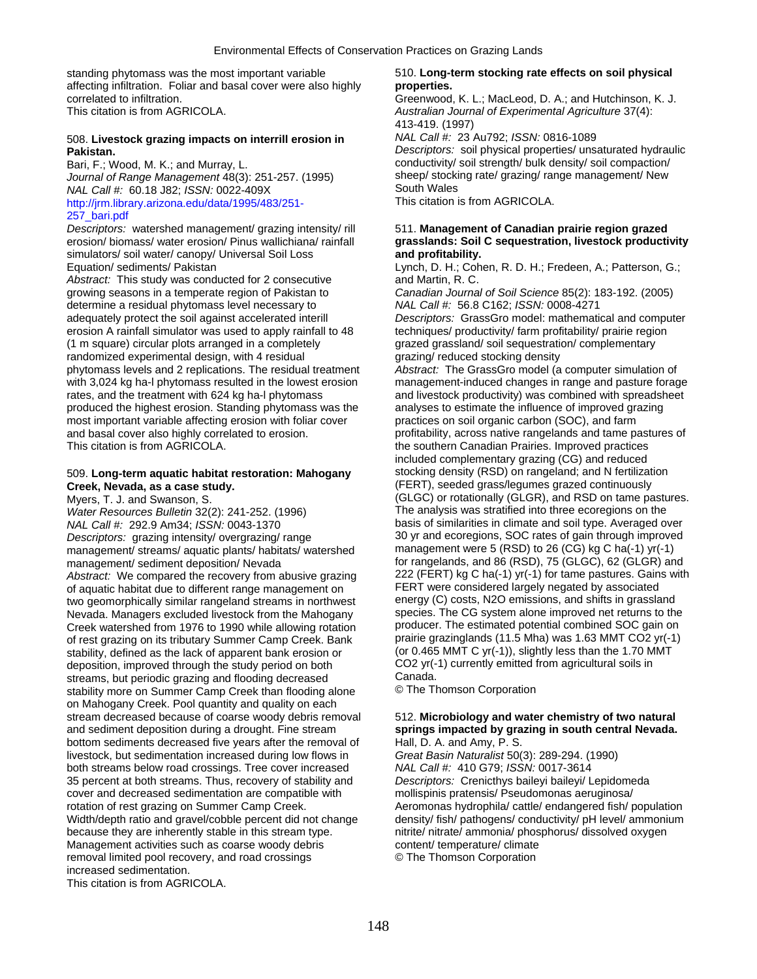standing phytomass was the most important variable 510. **Long-term stocking rate effects on soil physical**  affecting infiltration. Foliar and basal cover were also highly **properties.**  correlated to infiltration. Greenwood, K. L.; MacLeod, D. A.; and Hutchinson, K. J.

# 508. **Livestock grazing impacts on interrill erosion in** *NAL Call #:* 23 Au792; *ISSN:* 0816-1089

*Journal of Range Management* 48(3): 251-257. (1995) sheep/ stocking rate management 48(3): 251-257. (1995) sheep/ stocking rate/ rate/ range management/ Regrazing management/ Regrazing management management management man *NAL Call #:* 60.18 J82; *ISSN:* 0022-409X<br>http://irm.library.arizona.edu/data/1995/483/251-<br>This citation is from AGRICOLA. [http://jrm.library.arizona.edu/data/1995/483/251-](http://jrm.library.arizona.edu/data/1995/483/251-257_bari.pdf) [257\\_bari.pdf](http://jrm.library.arizona.edu/data/1995/483/251-257_bari.pdf) 

simulators/ soil water/ canopy/ Universal Soil Loss **and profitability.**  Equation/ sediments/ Pakistan Lynch, D. H.; Cohen, R. D. H.; Fredeen, A.; Patterson, G.; Lynch, D. H.; Cohen, R. D. H.; Fredeen, A.; Patterson, G.;

Abstract: This study was conducted for 2 consecutive and Martin, R. C. growing seasons in a temperate region of Pakistan to *Canadian Journal of Soil Science* 85(2): 183-192. (2005)<br>determine a residual phytomass level necessary to **Interact Callective ACS** C162; ISSN: 0008-4271 determine a residual phytomass level necessary to adequately protect the soil against accelerated interill *Descriptors:* GrassGro model: mathematical and computer erosion A rainfall simulator was used to apply rainfall to 48 techniques/ productivity/ farm profitability/ prairie region (1 m square) circular plots arranged in a completely grazed grassland/ soil sequestration/ complementary randomized experimental design, with 4 residual grazing/ reduced stocking density phytomass levels and 2 replications. The residual treatment *Abstract:* The GrassGro model (a computer simulation of rates, and the treatment with 624 kg ha-l phytomass and livestock productivity) was combined with spreadsheet produced the highest erosion. Standing phytomass was the analyses to estimate the influence of improved grazing most important variable affecting erosion with foliar cover practices on soil organic carbon (SOC), and farm and basal cover also highly correlated to erosion. profitability, across native rangelands and tame pastures of This citation is from AGRICOLA. This citation is from AGRICOLA. The southern Canadian Prairies. Improved practices

## **Creek, Nevada, as a case study.** (FERT), seeded grass/legumes grazed continuously

*NAL Call #:* 292.9 Am34; *ISSN:* 0043-1370 basis of similarities in climate and soil type. Averaged over<br>Descriptors: grazing intensity/ overgrazing/ range 30 yr and ecoregions, SOC rates of gain through improved *Descriptors:* grazing intensity/ overgrazing/ range 30 yr and ecoregions, SOC rates of gain through improve<br>management/ streams/ aquatic plants/ habitats/ watershed management were 5 (RSD) to 26 (CG) kg C ha(-1) yr(-1) management/ streams/ aquatic plants/ habitats/ watershed management/ sediment deposition/ Nevada *Abstract:* We compared the recovery from abusive grazing 222 (FERT) kg C ha(-1) yr(-1) for tame pastures. Gain<br>TERT were considered largely negated by associated of aquatic habitation of aquatic habitat due to different r of aquatic habitat due to different range management on FERT were considered largely negated by associated<br>two geomorphically similar rangeland streams in northwest energy (C) costs, N2O emissions, and shifts in grassland two geomorphically similar rangeland streams in northwest energy (C) costs, N2O emissions, and shifts in grassland<br>Nevada, Managers excluded livestock from the Mahogany species. The CG system alone improved net returns to Nevada. Managers excluded livestock from the Mahogany species. The CG system alone improved net returns to the<br>Creek watershed from 1976 to 1990 while allowing rotation producer. The estimated potential combined SOC gain o Creek watershed from 1976 to 1990 while allowing rotation producer. The estimated potential combined SOC gain on<br>
of rest grazing on its tributary Summer Camp Creek. Bank prairie grazinglands (11.5 Mha) was 1.63 MMT CO2 yr of rest grazing on its tributary Summer Camp Creek. Bank prairie grazinglands (11.5 Mha) was 1.63 MMT CO2 yr(-1<br>stability, defined as the lack of apparent bank erosion or (or 0.465 MMT C yr(-1)), slightly less than the 1.7 stability, defined as the lack of apparent bank erosion or (or 0.465 MMT C yr(-1)), slightly less than the 1.70 M<br>deposition, improved through the study period on both CO2 yr(-1) currently emitted from agricultural soils i deposition, improved through the study period on both CO2 yr(-<br>streams, but periodic grazing and flooding decreased Canada. streams, but periodic grazing and flooding decreased Canada.<br>
stability more on Summer Camp Creek than flooding alone 

C The Thomson Corporation stability more on Summer Camp Creek than flooding alone on Mahogany Creek. Pool quantity and quality on each stream decreased because of coarse woody debris removal 512. Microbiology and water chemistry of two natural and sediment deposition during a drought. Fine stream **springs impacted by grazing in south central Nevada.**  bottom sediments decreased five years after the removal of Hall, D. A. and Amy, P. S.<br>Iivestock, but sedimentation increased during low flows in Great Basin Naturalist 50(3): 289-294. (1990) livestock, but sedimentation increased during low flows in *Great Basin Naturalist* 50(3): 289-294. (1<br>both streams below road crossings. Tree cover increased *NAL Call #:* 410 G79; ISSN: 0017-3614 both streams below road crossings. Tree cover increased 35 percent at both streams. Thus, recovery of stability and *Descriptors:* Crenicthys baileyi baileyi/ Lepidomeda cover and decreased sedimentation are compatible with mollispinis pratensis/ Pseudomonas aeruginosa/ rotation of rest grazing on Summer Camp Creek. Aeromonas hydrophila/ cattle/ endangered fish/ population Width/depth ratio and gravel/cobble percent did not change density/ fish/ pathogens/ conductivity/ pH level/ ammonium because they are inherently stable in this stream type. <br>
Management activities such as coarse woody debris 
<br>
Content/ temperature/ climate Management activities such as coarse woody debris removal limited pool recovery, and road crossings © The Thomson Corporation increased sedimentation.

This citation is from AGRICOLA.

This citation is from AGRICOLA. *Australian Journal of Experimental Agriculture* 37(4): 413-419. (1997)

**Pakistan. Pakistan.** *Descriptors:* **soil physical properties/ unsaturated hydraulic Bari, F.; Wood, M. K.; and Murray, L. <b>***Descriptors:* soil physical properties/ unsaturated hydraulic conductivity/ soil strength/ b conductivity/ soil strength/ bulk density/ soil compaction/<br>sheep/ stocking rate/ grazing/ range management/ New

### *Descriptors:* watershed management/ grazing intensity/ rill 511. **Management of Canadian prairie region grazed**  erosion/ biomass/ water erosion/ Pinus wallichiana/ rainfall **grasslands: Soil C sequestration, livestock productivity**

with 3,024 kg ha-l phytomass resulted in the lowest erosion management-induced changes in range and pasture forage included complementary grazing (CG) and reduced 509. **Long-term aquatic habitat restoration: Mahogany** stocking density (RSD) on rangeland; and N fertilization Myers, T. J. and Swanson, S. (GLGC) or rotationally (GLGR), and RSD on tame pastures. *Water Resources Bulletin* 32(2): 241-252. (1996) The analysis was stratified into three ecoregions on the for rangelands, and 86 (RSD), 75 (GLGC), 62 (GLGR) and 222 (FERT) kg C ha(-1) yr(-1) for tame pastures. Gains with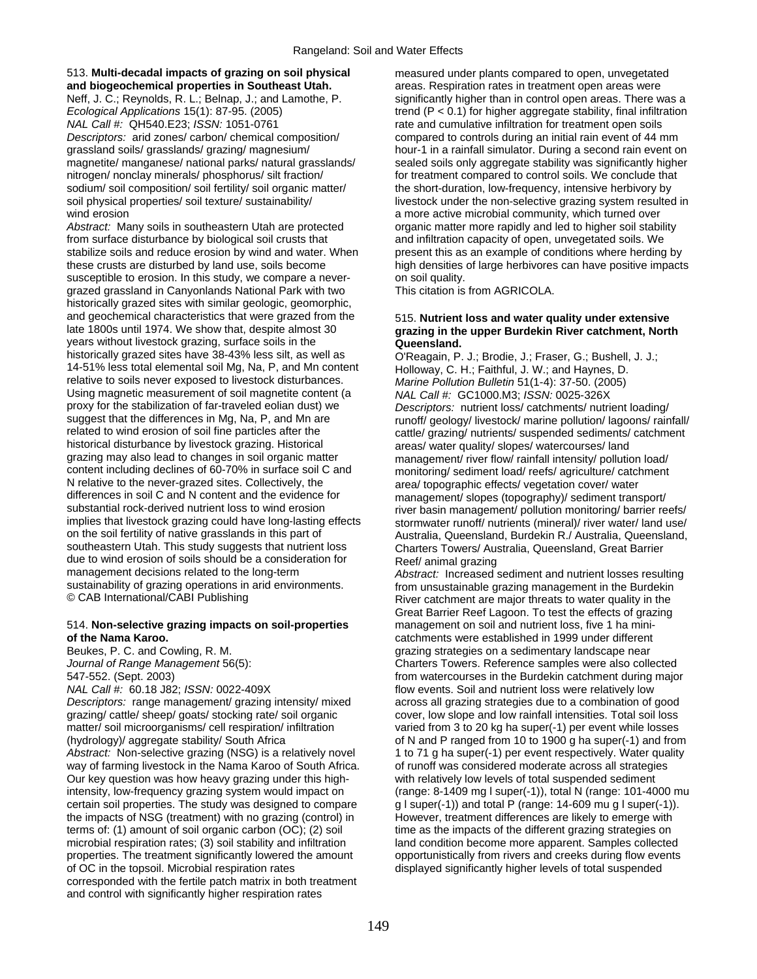### 513. **Multi-decadal impacts of grazing on soil physical** measured under plants compared to open, unvegetated **and biogeochemical properties in Southeast Utah.** areas. Respiration rates in treatment open areas were

*NAL Call #:* QH540.E23; *ISSN:* 1051-0761 rate and cumulative infiltration for treatment open soils *Descriptors:* arid zones/ carbon/ chemical composition/ compared to controls during an initial rain event of 44 mm nitrogen/ nonclay minerals/ phosphorus/ silt fraction/ for treatment compared to control soils. We conclude that sodium/ soil composition/ soil fertility/ soil organic matter/ the short-duration, low-frequency, intensive herbivory by wind erosion **a** more active microbial community, which turned over

from surface disturbance by biological soil crusts that and infiltration capacity of open, unvegetated soils. We stabilize soils and reduce erosion by wind and water. When present this as an example of conditions where herding by these crusts are disturbed by land use, soils become high densities of large herbivores can have positive impacts susceptible to erosion. In this study, we compare a never- on soil quality. grazed grassland in Canyonlands National Park with two This citation is from AGRICOLA. historically grazed sites with similar geologic, geomorphic, and geochemical characteristics that were grazed from the 515. **Nutrient loss and water quality under extensive**  years without livestock grazing, surface soils in the **Queensland.**<br>
historically grazed sites have 38-43% less silt, as well as **COL** COL Reagain. P. 14-51% less total elemental soil Mg, Na, P, and Mn content Holloway, C. H.; Faithful, J. W.; and Haynes, D. relative to soils never exposed to livestock disturbances. *Marine Pollution Bulletin* 51(1-4): 37-50. (2005) Using magnetic measurement of soil magnetite content (a *NAL Call #: GC1000.M3; ISSN: 0025-326X*<br>proxy for the stabilization of far-traveled eolian dust) we *Descriptors: nutrient loss/ catchments/ nutri* proxy for the stabilization of far-traveled eolian dust) we *Descriptors:* nutrient loss/ catchments/ nutrient loading/ suggest that the differences in Mg, Na, P, and Mn are runoff/ geology/ livestock/ marine pollution/ lagoons/ rainfall/<br>related to wind erosion of soil fine particles after the run cattle/ grazing/ nutrients/ suspended sedi related to wind erosion of soil fine particles after the cattle/ grazing/ nutrients/ suspended sediments/ catchment<br>historical disturbance by livestock grazing. Historical and areas/ water quality/ slopes/ watercourses/ la historical disturbance by livestock grazing. Historical areas/ water quality/ slopes/ watercourses/ land<br>grazing may also lead to changes in soil organic matter and areas management/ river flow/ rainfall intensity/ polluti grazing may also lead to changes in soil organic matter management/ river flow/ rainfall intensity/ pollution load/<br>content including declines of 60-70% in surface soil C and monitoring/ sediment load/ reefs/ agriculture/ content including declines of 60-70% in surface soil C and monitoring/ sediment load/ reefs/ agriculture/ catchment<br>N relative to the never-grazed sites. Collectively, the area/ topographic effects/ vegetation cover/ water N relative to the never-grazed sites. Collectively, the area/ topographic effects/ vegetation cover/ water<br>differences in soil C and N content and the evidence for management/ slopes (topography)/ sediment trans differences in soil C and N content and the evidence for management/ slopes (topography)/ sediment transport/<br>substantial rock-derived nutrient loss to wind erosion river basin management/ pollution monitoring/ barrier re substantial rock-derived nutrient loss to wind erosion river basin management/ pollution monitoring/ barrier reefs/<br>implies that livestock grazing could have long-lasting effects stormwater runoff/ nutrients (mineral)/ riv implies that livestock grazing could have long-lasting effects stormwater runoff/ nutrients (mineral)/ river water/ land use/<br>Stormwater runoff/ nutrients (mineral)/ river water/ land use/ on the soil fertility of native g southeastern Utah. This study suggests that nutrient loss Charters Towers/ Australia, Queensland, Great Barrier due to wind erosion of soils should be a consideration for Reef/ animal grazing<br>management decisions related to the long-term *Abstract:* Increased management decisions related to the long-term *Abstract:* Increased sediment and nutrient losses resulting<br>
sustainability of grazing operations in arid environments. The manusustainable grazing management in the Burdekin sustainability of grazing operations in arid environments. From unsustainable grazing management in the Burdekin<br>© CAB International/CABI Publishing under the River catchment are major threats to water quality in the

### 514. **Non-selective grazing impacts on soil-properties** management on soil and nutrient loss, five 1 ha mini**of the Nama Karoo.** catchments were established in 1999 under different

*Descriptors:* range management/ grazing intensity/ mixed across all grazing strategies due to a combination of good grazing/ cattle/ sheep/ goats/ stocking rate/ soil organic cover, low slope and low rainfall intensities. Total soil loss matter/ soil microorganisms/ cell respiration/ infiltration varied from 3 to 20 kg ha super(-1) per event while losses (hydrology)/ aggregate stability/ South Africa of N and P ranged from 10 to 1900 g ha super(-1) and from Abstract: Non-selective grazing (NSG) is a relatively novel 1 to 71 g ha super(-1) per event respectively. Water quality way of farming livestock in the Nama Karoo of South Africa. of runoff was considered moderate across all strategies Our key question was how heavy grazing under this high- with relatively low levels of total suspended sediment certain soil properties. The study was designed to compare g I super(-1)) and total P (range: 14-609 mu g I super(-1))<br>the impacts of NSG (treatment) with no grazing (control) in However, treatment differences are likely t the impacts of NSG (treatment) with no grazing (control) in terms of: (1) amount of soil organic carbon (OC); (2) soil time as the impacts of the different grazing strategies on microbial respiration rates; (3) soil stability and infiltration land condition become more apparent. Samples collected<br>properties. The treatment significantly lowered the amount opportunistically from rivers and creeks du of OC in the topsoil. Microbial respiration rates displayed significantly higher levels of total suspended corresponded with the fertile patch matrix in both treatment and control with significantly higher respiration rates

Neff, J. C.; Reynolds, R. L.; Belnap, J.; and Lamothe, P. significantly higher than in control open areas. There was a *Ecological Applications* 15(1): 87-95. (2005) trend (P < 0.1) for higher aggregate stability, final infiltration grassland soils/ grasslands/ grazing/ magnesium/ hour-1 in a rainfall simulator. During a second rain event on magnetite/ manganese/ national parks/ natural grasslands/ sealed soils only aggregate stability was significantly higher soil physical properties/ soil texture/ sustainability/ livestock under the non-selective grazing system resulted in Abstract: Many soils in southeastern Utah are protected organic matter more rapidly and led to higher soil stability

# grazing in the upper Burdekin River catchment, North

O'Reagain, P. J.; Brodie, J.; Fraser, G.; Bushell, J. J.; Australia, Queensland, Burdekin R./ Australia, Queensland,

River catchment are major threats to water quality in the Great Barrier Reef Lagoon. To test the effects of grazing Beukes, P. C. and Cowling, R. M. grazing strategies on a sedimentary landscape near *Journal of Range Management* 56(5): Charters Towers. Reference samples were also collected 547-552. (Sept. 2003)<br>
MAL Call #: 60.18 J82: ISSN: 0022-409X<br>
flow events. Soil and nutrient loss were relatively low flow events. Soil and nutrient loss were relatively low intensity, low-frequency grazing system would impact on (range: 8-1409 mg l super(-1)), total N (range: 101-4000 mu<br>certain soil properties. The study was designed to compare g l super(-1)) and total P (range: 14-609 mu g opportunistically from rivers and creeks during flow events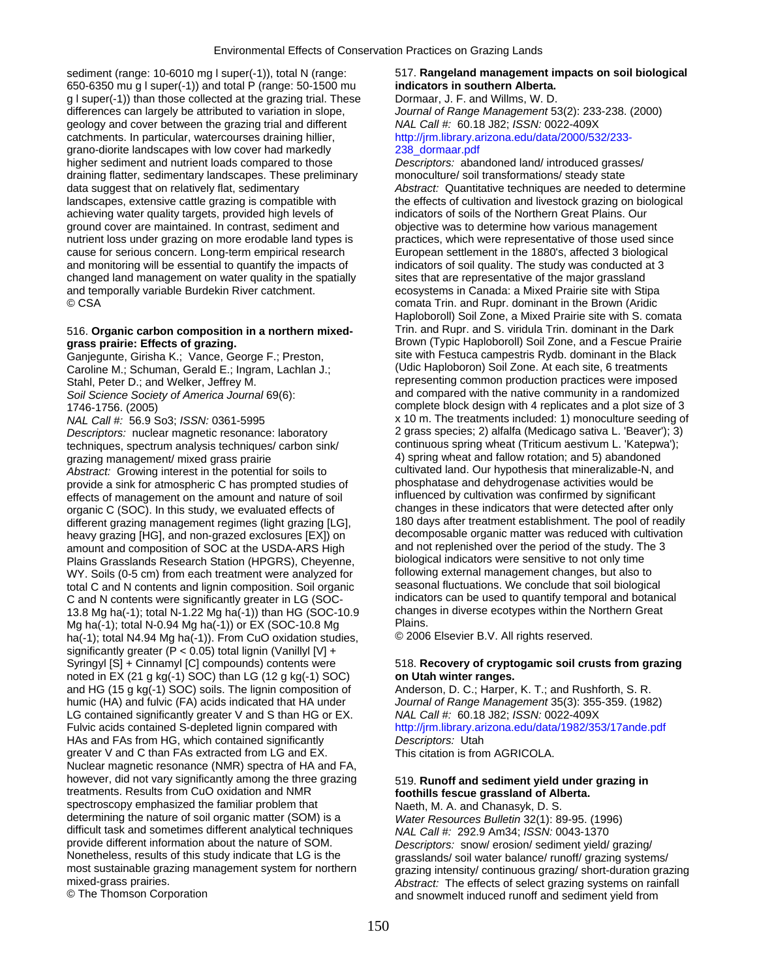sediment (range: 10-6010 mg l super(-1)), total N (range: 517. **Rangeland management impacts on soil biological 650-6350 mu g l super(-1))** and total P (range: 50-1500 mu **indicators in southern Alberta.** 650-6350 mu g l super(-1)) and total P (range: 50-1500 mu **indicators in southern Alberta.**  g l super(-1)) than those collected at the grazing trial. These Dormaar, J. F. and Willms, W. D. differences can largely be attributed to variation in slope, *Journal of Range Management* 53(2): 233-238. (2000) geology and cover between the grazing trial and different *NAL Call #:* 60.18 J82; *ISSN:* 0022-409X catchments. In particular, watercourses draining hillier, [http://jrm.library.arizona.edu/data/2000/532/233](http://jrm.library.arizona.edu/data/2000/532/233-238_dormaar.pdf) grano-diorite landscapes with low cover had markedly [238\\_dormaar.pdf](http://jrm.library.arizona.edu/data/2000/532/233-238_dormaar.pdf) higher sediment and nutrient loads compared to those *Descriptors:* abandoned land/ introduced grasses/ draining flatter, sedimentary landscapes. These preliminary monoculture/ soil transformations/ steady state data suggest that on relatively flat, sedimentary *Abstract:* Quantitative techniques are needed to determine landscapes, extensive cattle grazing is compatible with the effects of cultivation and livestock grazing on biological achieving water quality targets, provided high levels of indicators of soils of the Northern Great Plains. Our ground cover are maintained. In contrast, sediment and objective was to determine how various management nutrient loss under grazing on more erodable land types is practices, which were representative of those used since cause for serious concern. Long-term empirical research European settlement in the 1880's, affected 3 biological and monitoring will be essential to quantify the impacts of indicators of soil quality. The study was conducted at 3 changed land management on water quality in the spatially sites that are representative of the major grassland and temporally variable Burdekin River catchment. ecosystems in Canada: a Mixed Prairie site with Stipa © CSA comata Trin. and Rupr. dominant in the Brown (Aridic

Caroline M.; Schuman, Gerald E.; Ingram, Lachlan J.;

*Descriptors:* nuclear magnetic resonance: laboratory 2 grass species; 2) alfalfa (Medicago sativa L. 'Beaver'); 3) techniques, spectrum analysis techniques/ carbon sink/ grazing management/ mixed grass prairie 40 minutes and 4) spring wheat and fallow rotation; and 5) abandoned *Abstract: Growing interest in the potential for soils to* cultivated land. Our hypothesis that mineralizable-N, and<br>provide a sink for atmospheric C has prompted studies of phosphatase and dehydrogenase activities would b provide a sink for atmospheric C has prompted studies of phosphatase and dehydrogenase activities would be<br>effects of management on the amount and nature of soil influenced by cultivation was confirmed by significant effects of management on the amount and nature of soil influenced by cultivation was confirmed by significant<br>
organic C (SOC) In this study, we evaluated effects of changes in these indicators that were detected after onl organic C (SOC). In this study, we evaluated effects of changes in these indicators that were detected after only<br>different grazing management regimes (light grazing II G) 180 days after treatment establishment. The pool o different grazing management regimes (light grazing [LG],  $\qquad 180$  days after treatment establishment. The pool of readily<br>heavy grazing [HG], and non-grazed exclosures [FX]) on decomposable organic matter was reduced wit heavy grazing [HG], and non-grazed exclosures [EX]) on decomposable organic matter was reduced with cultivat<br>3 amount and composition of SOC at the USDA-ARS High and not replenished over the period of the study. The 3 amount and composition of SOC at the USDA-ARS High and not replenished over the period of the study. The 3D and not replenished over the period of the study. The 3D and not only time  $\frac{1}{2}$  biological indicators were se Plains Grasslands Research Station (HPGRS), Cheyenne, biological indicators were sensitive to not only time<br>WY, Soils (0-5 cm) from each treatment were analyzed for following external management changes, but also to WY. Soils (0-5 cm) from each treatment were analyzed for following external management changes, but also to<br>total C and N contents and lignin composition. Soil organic seasonal fluctuations. We conclude that soil biologica total C and N contents and lignin composition. Soil organic C and N contents were significantly greater in LG (SOC- indicators can be used to quantify temporal and botanical<br>13.8 Mg ha(-1): total N-1.22 Mg ha(-1)) than HG (SOC-10.9 changes in diverse ecotypes within the Northern Gr 13.8 Mg ha(-1); total N-1.22 Mg ha(-1)) than HG (SOC-10.9 change<br>Mg ha(-1): total N-0.94 Mg ha(-1)) or EX (SOC-10.8 Mg Plains Mg ha(-1); total N-0.94 Mg ha(-1)) or EX (SOC-10.8 Mg Plains.<br>ha(-1): total N4.94 Mg ha(-1)) From CuO oxidation studies © 2006 Elsevier B.V. All rights reserved. ha(-1); total N4.94 Mg ha(-1)). From CuO oxidation studies, significantly greater (P < 0.05) total lignin (Vanillyl [V] + Syringyl [S] + Cinnamyl [C] compounds) contents were 518. **Recovery of cryptogamic soil crusts from grazing**  noted in EX (21 g kg(-1) SOC) than LG (12 g kg(-1) SOC) **on Utah winter ranges.**  and HG (15 g kg(-1) SOC) soils. The lignin composition of Anderson, D. C.; Harper, K. T.; and Rushforth, S. R. humic (HA) and fulvic (FA) acids indicated that HA under *Journal of Range Management* 35(3): 355-359. (1982) LG contained significantly greater V and S than HG or EX. *NAL Call #:* 60.18 J82; *ISSN:* 0022-409X Fulvic acids contained S-depleted lignin compared with <http://jrm.library.arizona.edu/data/1982/353/17ande.pdf> HAs and FAs from HG, which contained significantly *Descriptors:* Utah greater V and C than FAs extracted from LG and EX. This citation is from AGRICOLA. Nuclear magnetic resonance (NMR) spectra of HA and FA, however, did not vary significantly among the three grazing 519. **Runoff and sediment yield under grazing in**<br> **Foothills fescue grassland of Alberta** spectroscopy emphasized the familiar problem that Naeth, M. A. and Chanasyk, D. S. determining the nature of soil organic matter (SOM) is a *Water Resources Bulletin* 32(1): 89-95. (1996) difficult task and sometimes different analytical techniques *NAL Call #:* 292.9 Am34; *ISSN:* 0043-1370 provide different information about the nature of SOM. *Descriptors:* snow/ erosion/ sediment yield/ grazing/ Nonetheless, results of this study indicate that LG is the grasslands/ soil water balance/ runoff/ grazing systems/<br>most sustainable grazing management system for northern grazing intensity/ continuous grazing/ short-durat

Haploboroll) Soil Zone, a Mixed Prairie site with S. comata 516. **Organic carbon composition in a northern mixed-** Trin. and Rupr. and S. viridula Trin. dominant in the Dark **grass prairie: Effects of grazing. Brown (Typic Haploboroll) Soil Zone, and a Fescue Prairie** Ganjegunte, Girisha K.; Vance, George F.; Preston, site with Festuca campestris Rydb. dominant in the Black<br>Caroline M.: Schuman, Gerald E.: Ingram, Lachlan J.: (Udic Haploboron) Soil Zone, At each site, 6 treatments Stahl, Peter D.; and Welker, Jeffrey M. The Common production production practices were imposed *Soil Science Society of America Journal* 69(6): and compared with the native community in a randomized 1746-1756. (2005) complete block design with 4 replicates and a plot size of 3 *NAL Call #*:  $56.9$  So3; *ISSN:* 0361-5995 x 10 m. The treatments included: 1) monoculture seeding of<br>Descriptors: nuclear magnetic resonance: laboratory 2 grass species: 2) alfalfa (Medicago sativa L. 'Beaver'); 3)

# foothills fescue grassland of Alberta.

most sustainable grazing management system for northern grazing intensity/ continuous grazing/ short-duration grazing<br>Abstract: The effects of select grazing systems on rainfall mixed-grass prairies.<br>
© The Thomson Corporation **Abstract:** The effects of select grazing systems on rainfall<br>
and snowmelt induced runoff and sediment vield from and snowmelt induced runoff and sediment yield from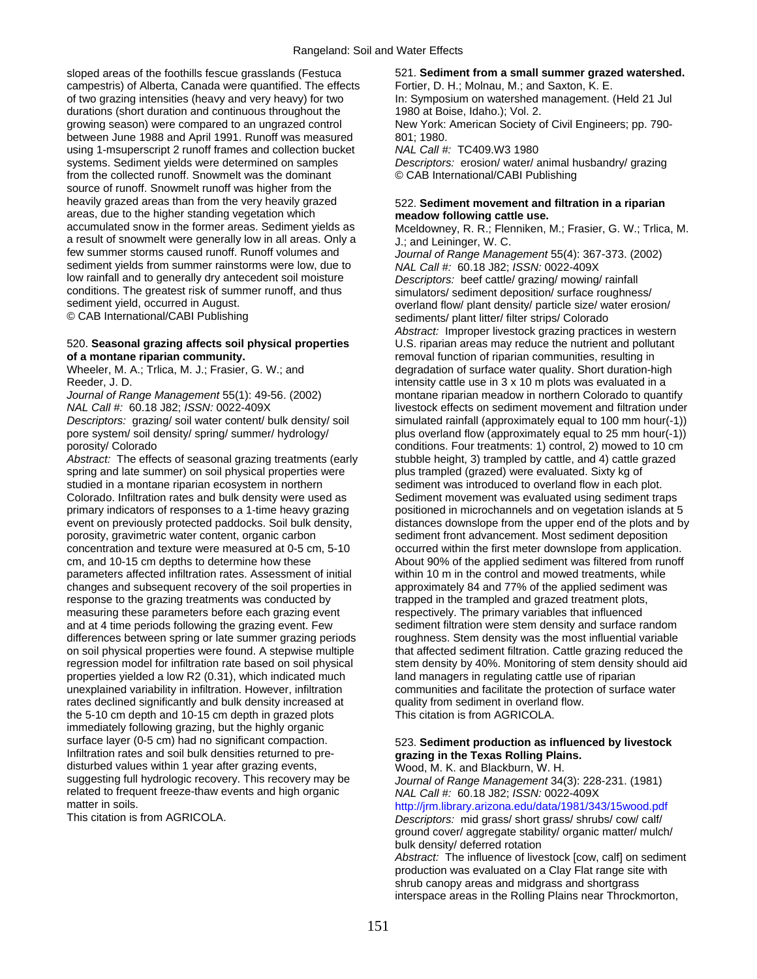sloped areas of the foothills fescue grasslands (Festuca 521. **Sediment from a small summer grazed watershed.** campestris) of Alberta, Canada were quantified. The effects Fortier, D. H.; Molnau, M.; and Saxton, K. E. of two grazing intensities (heavy and very heavy) for two In: Symposium on watershed management. (Held 21 Jul durations (short duration and continuous throughout the 1980 at Boise, Idaho.); Vol. 2. growing season) were compared to an ungrazed control New York: American Society of Civil Engineers; pp. 790 between June 1988 and April 1991. Runoff was measured 801; 1980. using 1-msuperscript 2 runoff frames and collection bucket *NAL Call #:* TC409.W3 1980 systems. Sediment yields were determined on samples *Descriptors:* erosion/ water/ animal husbandry/ grazing from the collected runoff. Snowmelt was the dominant © CAB International/CABI Publishing source of runoff. Snowmelt runoff was higher from the heavily grazed areas than from the very heavily grazed 522. **Sediment movement and filtration in a riparian**  areas, due to the higher standing vegetation which **meadow following cattle use.**<br>
accumulated snow in the former areas. Sediment yields as **Mceldowney, R. R.: Flenniken**. a result of snowmelt were generally low in all areas. Only a  $J$ : and Leininger, W. C. few summer storms caused runoff. Runoff volumes and  $J$ sediment yields from summer rainstorms were low, due to **NAL Call #: 60.18 J82;** *ISSN:* **0022-409X**<br>low rainfall and to generally dry antecedent soil moisture *Descriptors:* beef cattle/ grazing/ mowing low rainfall and to generally dry antecedent soil moisture *Descriptors:* beef cattle/ grazing/ mowing/ rainfall conditions. The greatest risk of summer runoff, and thus simulators/ sediment deposition/ surface roughness/<br>sediment yield, occurred in August. sediment yield, occurred in August. over a comparison overland flow/ plant density/ particle size/ water erosion/<br>© CAB International/CABI Publishing over the comparison overland flow/ plant litter/ filter strips/ Colorado

### 520. **Seasonal grazing affects soil physical properties** U.S. riparian areas may reduce the nutrient and pollutant **of a montane riparian community. removal function of riparian communities, resulting in**

Abstract: The effects of seasonal grazing treatments (early stubble height, 3) trampled by cattle, and 4) cattle grazed spring and late summer) on soil physical properties were plus trampled (grazed) were evaluated. Sixty kg of studied in a montane riparian ecosystem in northern sediment was introduced to overland flow in each plot. Colorado. Infiltration rates and bulk density were used as Sediment movement was evaluated using sediment traps primary indicators of responses to a 1-time heavy grazing positioned in microchannels and on vegetation islands at 5 porosity, gravimetric water content, organic carbon sediment front advancement. Most sediment deposition concentration and texture were measured at 0-5 cm, 5-10 occurred within the first meter downslope from application. parameters affected infiltration rates. Assessment of initial within 10 m in the control and mowed treatments, while changes and subsequent recovery of the soil properties in approximately 84 and 77% of the applied sediment was response to the grazing treatments was conducted by trapped in the trampled and grazed treatment plots, measuring these parameters before each grazing event respectively. The primary variables that influenced and at 4 time periods following the grazing event. Few sediment filtration were stem density and surface random differences between spring or late summer grazing periods roughness. Stem density was the most influential variable properties yielded a low R2 (0.31), which indicated much land managers in regulating cattle use of riparian unexplained variability in infiltration. However, infiltration communities and facilitate the protection of surface water rates declined significantly and bulk density increased at quality from sediment in overland flow. the 5-10 cm depth and 10-15 cm depth in grazed plots This citation is from AGRICOLA. immediately following grazing, but the highly organic surface layer (0-5 cm) had no significant compaction. 523. **Sediment production as influenced by livestock** Infiltration rates and soil bulk densities returned to pre- **grazing in the Texas Rolling Plains.** disturbed values within 1 year after grazing events,  $W$  Wood, M. K. and Blackburn, W. H. suggesting full hydrologic recovery. This recovery may be *Journal of Range Management* 34(3): 228-231. (1981) related to frequent freeze-thaw events and high organic *NAL Call #:* 60.18 J82; *ISSN:* 0022-409X

Mceldowney, R. R.; Flenniken, M.; Frasier, G. W.; Trlica, M. Journal of Range Management 55(4): 367-373. (2002) sediments/ plant litter/ filter strips/ Colorado *Abstract:* Improper livestock grazing practices in western Wheeler, M. A.; Trlica, M. J.; Frasier, G. W.; and degradation of surface water quality. Short duration-high Reeder, J. D. intensity cattle use in 3 x 10 m plots was evaluated in a *Journal of Range Management* 55(1): 49-56. (2002) montane riparian meadow in northern Colorado to quantify *NAL Call #:* 60.18 J82; *ISSN:* 0022-409X livestock effects on sediment movement and filtration under *Descriptors:* grazing/ soil water content/ bulk density/ soil simulated rainfall (approximately equal to 100 mm hour(-1)) pore system/ soil density/ spring/ summer/ hydrology/ plus overland flow (approximately equal to 25 mm hour(-1)) porosity/ Colorado conditions. Four treatments: 1) control, 2) mowed to 10 cm event on previously protected paddocks. Soil bulk density, distances downslope from the upper end of the plots and by cm, and 10-15 cm depths to determine how these About 90% of the applied sediment was filtered from runoff on soil physical properties were found. A stepwise multiple that affected sediment filtration. Cattle grazing reduced the regression model for infiltration rate based on soil physical stem density by 40%. Monitoring of stem density should aid

matter in soils.<br>This citation is from AGRICOLA. This citation is from AGRICOLA. Descriptors: mid grass/ short grass/ shrubs/ cow/ calf/ ground cover/ aggregate stability/ organic matter/ mulch/ bulk density/ deferred rotation

*Abstract:* The influence of livestock [cow, calf] on sediment production was evaluated on a Clay Flat range site with shrub canopy areas and midgrass and shortgrass interspace areas in the Rolling Plains near Throckmorton,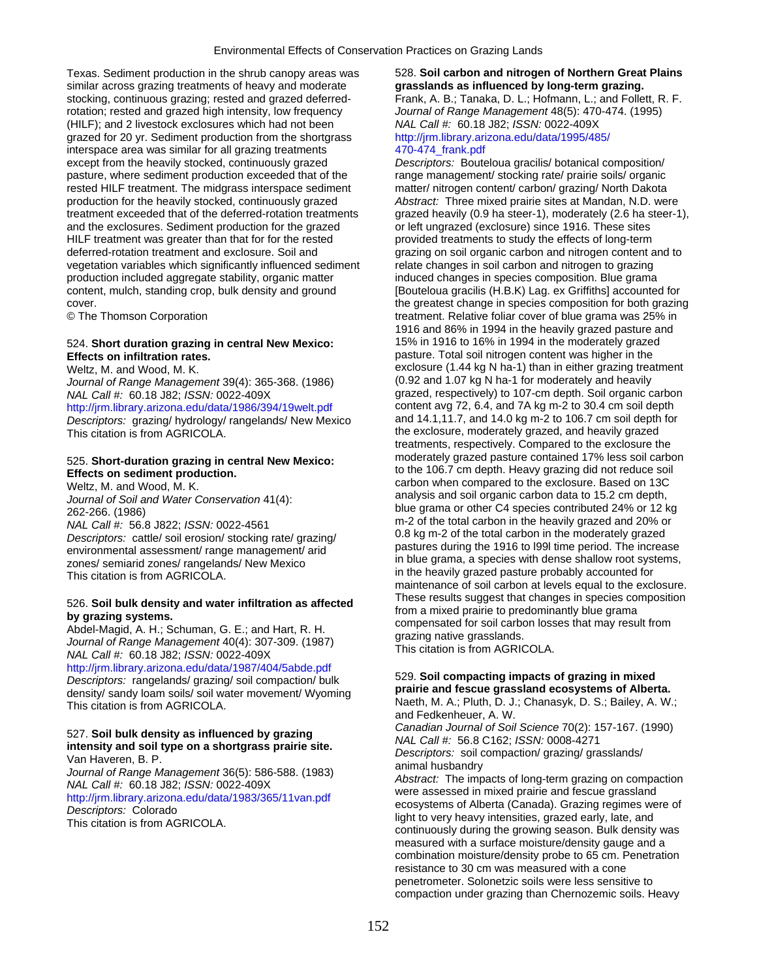Texas. Sediment production in the shrub canopy areas was 528. **Soil carbon and nitrogen of Northern Great Plains**  similar across grazing treatments of heavy and moderate **grasslands as influenced by long-term grazing.**  stocking, continuous grazing; rested and grazed deferred- Frank, A. B.; Tanaka, D. L.; Hofmann, L.; and Follett, R. F. rotation; rested and grazed high intensity, low frequency *Journal of Range Management* 48(5): 470-474. (1995) (HILF); and 2 livestock exclosures which had not been *NAL Call #:* 60.18 J82; *ISSN:* 0022-409X grazed for 20 yr. Sediment production from the shortgrass http://jrm.library.arizona.edu/data/1995/485/ interspace area was similar for all grazing treatments 470-474 frank.pdf except from the heavily stocked, continuously grazed *Descriptors:* Bouteloua gracilis/ botanical composition/ pasture, where sediment production exceeded that of the range management/ stocking rate/ prairie soils/ organic rested HILF treatment. The midgrass interspace sediment matter/ nitrogen content/ carbon/ grazing/ North Dakota production for the heavily stocked, continuously grazed *Abstract:* Three mixed prairie sites at Mandan, N.D. were treatment exceeded that of the deferred-rotation treatments grazed heavily (0.9 ha steer-1), moderately (2.6 ha steer-1), and the exclosures. Sediment production for the grazed or left ungrazed (exclosure) since 1916. These sites HILF treatment was greater than that for for the rested provided treatments to study the effects of long-term deferred-rotation treatment and exclosure. Soil and grazing on soil organic carbon and nitrogen content and to vegetation variables which significantly influenced sediment relate changes in soil carbon and nitrogen to grazing<br>
production included aggregate stability, organic matter induced changes in species composition. Blue grama production included aggregate stability, organic matter content, mulch, standing crop, bulk density and ground [Bouteloua gracilis (H.B.K) Lag. ex Griffiths] accounted for cover. the greatest change in species composition for both grazing

## **Effects on infiltration rates. pasture. Total soil nitrogen content was higher in the** pasture. Total soil nitrogen content was higher in the

*Journal of Range Management* 39(4): 365-368. (1986) <http://jrm.library.arizona.edu/data/1986/394/19welt.pdf> content avg 72, 6.4, and 7A kg m-2 to 30.4 cm soil depth<br>Descriptors: grazing/ hydrology/ rangelands/ New Mexico and 14.1,11.7, and 14.0 kg m-2 to 106.7 cm soil depth *Descriptors: grazing/ hydrology/ rangelands/ New Mexico* This citation is from AGRICOLA. This citation is from AGRICOLA.

http://jrm.library.arizona.edu/data/1987/404/5abde.pdf<br>
Descriptors: rangelands/ grazing/ soil compaction/ bulk 529. **Soil compacting impacts of grazing in mixed**<br>
density/ sandy loam soils/ soil water movement/ Wyoming **a** density/ sandy loam soils/ soil water movement/ Wyoming<br>This citation is from AGRICOLA.

© The Thomson Corporation treatment. Relative foliar cover of blue grama was 25% in 1916 and 86% in 1994 in the heavily grazed pasture and 524. **Short duration grazing in central New Mexico:** 15% in 1916 to 16% in 1994 in the moderately grazed Weltz, M. and Wood, M. K.<br>
Weltz, M. and Wood, M. K.<br>
Journal of Range Management 39(4): 365-368. (1986) (0.92 and 1.07 kg N ha-1 for moderately and heavily *NAL Call #:* 60.18 J82; *ISSN:* 0022-409X grazed, respectively) to 107-cm depth. Soil organic carbon treatments, respectively. Compared to the exclosure the 525. **Short-duration grazing in central New Mexico:** *moderately grazed pasture contained 17% less soil carbon*<br>**Effects on sediment production. to the 106.7 cm depth. Heavy grazing did not reduce soil** Weltz, M. and Wood, M. K. carbon when compared to the exclosure. Based on 13C<br>
lournal of Soil and Water Conservation 11(1). analysis and soil organic carbon data to 15.2 cm depth, Journal of Soil and Water Conservation 41(4):<br>
262-266. (1986)<br>
262-266. (1986)<br>
262-266. (1986)<br>
262-266. (1986)<br>
262-266. (1986)<br>
262-266. (1986)<br>
262-266. (1986)<br>
262-266. (1986)<br>
263-266. (1986)<br>
263-266. (1986)<br>
264 m Descriptors: cattle/soil erosion/stocking rate/ grazing/<br>
environmental assessment/ range management/ arid<br>
zones/ semiarid zones/ rangelands/ New Mexico<br>
This citation is from AGRICOLA.<br>
This citation is from AGRICOLA. maintenance of soil carbon at levels equal to the exclosure.<br>These results suggest that changes in species composition 526. Soil bulk density and water infiltration as affected<br>by grazing systems.<br>Abdel-Magid, A. H.; Schuman, G. E.; and Hart, R. H.<br>Journal of Range Management 40(4): 307-309. (1987)<br>NAL Call #: 60.18 J82; ISSN: 0022-409X<br>NA

Naeth, M. A.; Pluth, D. J.; Chanasyk, D. S.; Bailey, A. W.; and Fedkenheuer, A. W.

S27. Soil bulk density as influenced by grazing<br>
intensity and soil type on a shortgrass prairie site.<br>
Van Haveren, B. P.<br>
Van Haveren, B. P.<br>
Journal of Range Management 36(5): 586-588. (1983)<br>
MAL Call #: 56.8 C162; ISS measured with a surface moisture/density gauge and a combination moisture/density probe to 65 cm. Penetration resistance to 30 cm was measured with a cone penetrometer. Solonetzic soils were less sensitive to compaction under grazing than Chernozemic soils. Heavy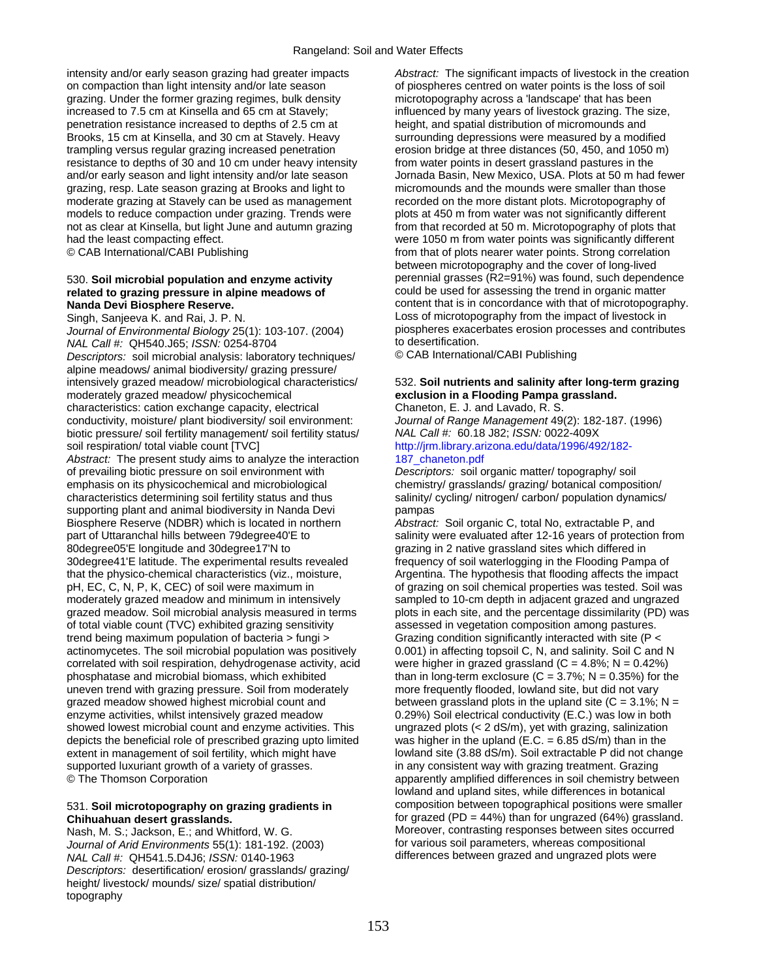intensity and/or early season grazing had greater impacts *Abstract:* The significant impacts of livestock in the creation on compaction than light intensity and/or late season of piospheres centred on water points is the loss of soil grazing. Under the former grazing regimes, bulk density microtopography across a 'landscape' that has been<br>influenced by many years of livestock grazing. The single influenced by many years of livestock grazing. The s penetration resistance increased to depths of 2.5 cm at height, and spatial distribution of micromounds and Brooks, 15 cm at Kinsella, and 30 cm at Stavely. Heavy surrounding depressions were measured by a modified trampling versus regular grazing increased penetration erosion bridge at three distances (50, 450, and 1050 m) resistance to depths of 30 and 10 cm under heavy intensity from water points in desert grassland pastures in the and/or early season and light intensity and/or late season Jornada Basin, New Mexico, USA. Plots at 50 m had fewer grazing, resp. Late season grazing at Brooks and light to micromounds and the mounds were smaller than those moderate grazing at Stavely can be used as management recorded on the more distant plots. Microtopography of models to reduce compaction under grazing. Trends were plots at 450 m from water was not significantly different not as clear at Kinsella, but light June and autumn grazing from that recorded at 50 m. Microtopography of plots that<br>had the least compacting effect. were 1050 m from water points was significantly different

# related to grazing pressure in alpine meadows of

*Journal of Environmental Biology* 25(1): 103-107. (2004) piospheres exace<br> *NAL Call #: QH540.J65: ISSN: 0254-8704* to desertification. *NAL Call #:* QH540.J65; *ISSN:* 0254-8704 to desertification.<br>Descriptors: soil microbial analysis: laboratory techniques/ CAB International/CABI Publishing *Descriptors:* soil microbial analysis: laboratory techniques/ alpine meadows/ animal biodiversity/ grazing pressure/ moderately grazed meadow/ physicochemical **exclusion in a Flooding Pampa grassland.**  characteristics: cation exchange capacity, electrical Chaneton, E. J. and Lavado, R. S.

conductivity, moisture/ plant biodiversity/ soil environment: *Journal of Range Management* 49(2): 182-187. (1996) biotic pressure/ soil fertility management/ soil fertility status/ *NAL Call #:* 60.18 J82; *ISSN:* 0022-409X soil respiration/ total viable count [TVC] [http://jrm.library.arizona.edu/data/1996/492/182-](http://jrm.library.arizona.edu/data/1996/492/182-187_chaneton.pdf)

Abstract: The present study aims to analyze the interaction 187 chaneton.pdf of prevailing biotic pressure on soil environment with *Descriptors:* soil organic matter/ topography/ soil emphasis on its physicochemical and microbiological chemistry/ grasslands/ grazing/ botanical composition/<br>characteristics determining soil fertility status and thus salinity/ cycling/ nitrogen/ carbon/ population dynamics characteristics determining soil fertility status and thus supporting plant and animal biodiversity in Nanda Devi pampas<br>Biosphere Reserve (NDBR) which is located in northern *Abstract:* Soil organic C, total No, extractable P, and Biosphere Reserve (NDBR) which is located in northern part of Uttaranchal hills between 79degree40'E to salinity were evaluated after 12-16 years of protection from 80degree05'E longitude and 30degree17'N to grazing in 2 native grassland sites which differed in 30degree41'E latitude. The experimental results revealed frequency of soil waterlogging in the Flooding Pampa of that the physico-chemical characteristics (viz., moisture,  $\blacksquare$  Argentina. The hypothesis that flooding affects the impact pH, EC, C, N, P, K, CEC) of soil were maximum in of grazing on soil chemical properties was tested. Soil was moderately grazed meadow and minimum in intensively sampled to 10-cm depth in adjacent grazed and ungrazed grazed meadow. Soil microbial analysis measured in terms plots in each site, and the percentage dissimilarity (PD) was of total viable count (TVC) exhibited grazing sensitivity assessed in vegetation composition among pastures. trend being maximum population of bacteria > fungi > Grazing condition significantly interacted with site (P < actinomycetes. The soil microbial population was positively 0.001) in affecting topsoil C, N, and salinity. Soil C and N correlated with soil respiration, dehydrogenase activity, acid were higher in grazed grassland ( $C = 4.8\%$ ;  $N = 0.42\%$ ) phosphatase and microbial biomass, which exhibited than in long-term exclosure (C = 3.7%; N = 0.35%) for the uneven trend with grazing pressure. Soil from moderately more frequently flooded, lowland site, but did not vary grazed meadow showed highest microbial count and between grassland plots in the upland site (C = 3.1%; N = enzyme activities, whilst intensively grazed meadow 0.29%) Soil electrical conductivity (E.C.) was low in both showed lowest microbial count and enzyme activities. This ungrazed plots (< 2 dS/m), yet with grazing, salinization depicts the beneficial role of prescribed grazing upto limited was higher in the upland (E.C. = 6.85 dS/m) than in the extent in management of soil fertility, which might have lowland site (3.88 dS/m). Soil extractable P did not change supported luxuriant growth of a variety of grasses. in any consistent way with grazing treatment. Grazing © The Thomson Corporation apparently amplified differences in soil chemistry between

*Journal of Arid Environments* 55(1): 181-192. (2003) *NAL Call #:* QH541.5.D4J6; *ISSN:* 0140-1963 differences between grazed and ungrazed plots were *Descriptors:* desertification/ erosion/ grasslands/ grazing/ height/ livestock/ mounds/ size/ spatial distribution/ topography

influenced by many years of livestock grazing. The size, were 1050 m from water points was significantly different © CAB International/CABI Publishing from that of plots nearer water points. Strong correlation between microtopography and the cover of long-lived<br>perennial grasses (R2=91%) was found, such dependence 530. **Soil microbial population and enzyme activity** entity perennial grasses (R2=91%) was found, such dependence<br> **prelated to grazing pressure in alpine meadows of** could be used for assessing the trend in organic matter **Nanda Devi Biosphere Reserve. content that is in concordance with that of microtopography.** Singh, Sanjeeva K. and Rai, J. P. N. Loss of microtopography from the impact of livestock in<br>Journal of Environmental Biology 25(1): 103-107 (2004) piospheres exacerbates erosion processes and contributes

# intensively grazed meadow/ microbiological characteristics/ 532. **Soil nutrients and salinity after long-term grazing**

lowland and upland sites, while differences in botanical 531. **Soil microtopography on grazing gradients in** composition between topographical positions were smaller **Chihuahuan desert grasslands.** for grazed (PD = 44%) than for ungrazed (64%) grassland. Nash, M. S.; Jackson, E.; and Whitford, W. G. Moreover, contrasting responses between sites occurred<br>Journal of Arid Environments 55(1): 181-192 (2003) for various soil parameters, whereas compositional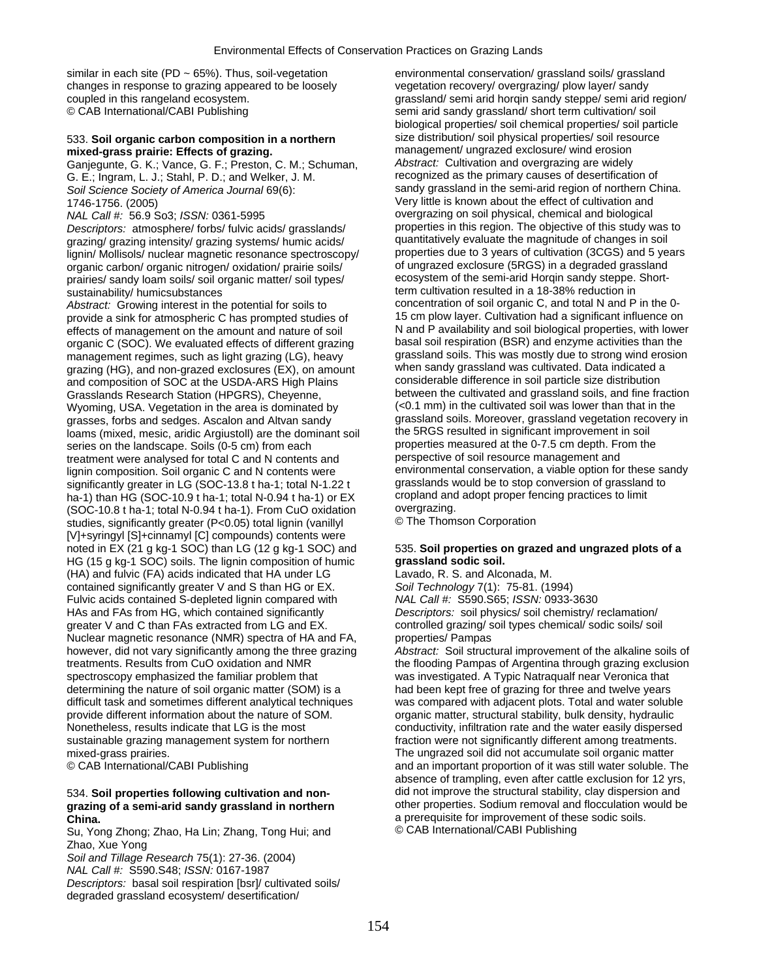similar in each site (PD ~ 65%). Thus, soil-vegetation environmental conservation/ grassland soils/ grassland changes in response to grazing appeared to be loosely vegetation recovery/ overgrazing/ plow layer/ sandy

Ganjegunte, G. K.; Vance, G. F.; Preston, C. M.; Schuman, *Abstract:* Cultivation and overgrazing are widely G. E.; Ingram, L. J.; Stahl, P. D.; and Welker, J. M. *Soil Science Society of America Journal* 69(6): sandy grassland in the semi-arid region of northern China.

*Descriptors:* atmosphere/ forbs/ fulvic acids/ grasslands/ properties in this region. The objective of this study was to reazing or azzing intensity/ grazing systems/ humic acids/ quantitatively evaluate the magnitude of grazing/ grazing intensity/ grazing systems/ humic acids/ quantitatively evaluate the magnitude of changes in soil<br>lignin/ Mollisols/ nuclear magnetic resonance spectroscopy/ properties due to 3 years of cultivation (3CGS) lignin/ Mollisols/ nuclear magnetic resonance spectroscopy/ properties due to 3 years of cultivation (3CGS) and 5 years<br>organic carbon/ organic pitrogen/ oxidation/ prairie soils/ of ungrazed exclosure (5RGS) in a degraded organic carbon/ organic nitrogen/ oxidation/ prairie soils/ of ungrazed exclosure (5RGS) in a degraded grassland<br>Trairies/ sandy loam soils/ soil proanic matter/ soil types/ on the cosystem of the semi-arid Horgin sandy st prairies/ sandy loam soils/ soil organic matter/ soil types/

*Abstract:* Growing interest in the potential for soils to concentration of soil organic C, and total N and P in the 0 effects of management on the amount and nature of soil N and P availability and soil biological properties, with lower<br>The N and P availability and soil respiration (BSR) and enzyme activities than the organic C (SOC). We evaluated effects of different grazing basal soil respiration (BSR) and enzyme activities than the<br>management regimes, such as light grazing (LG), heavy grassland soils. This was mostly due to strong wi management regimes, such as light grazing (LG), heavy grassland soils. This was mostly due to strong wind ero<br>grazing (HG), and non-grazed exclosures (EX), on amount when sandy grassland was cultivated. Data indicated a grazing (HG), and non-grazed exclosures (EX), on amount when sandy grassland was cultivated. Data indicated a<br>and composition of SOC at the USDA-ARS High Plains considerable difference in soil particle size distribution and composition of SOC at the USDA-ARS High Plains Wyoming, USA. Vegetation in the area is dominated by grasses, forbs and sedges. Ascalon and Altvan sandy grassland soils. Moreover, grassland vegetation recovery in<br>Ioams (mixed mesic, aridic Arguistoll) are the dominant soil the 5RGS resulted in significant improvement in s loams (mixed, mesic, aridic Argiustoll) are the dominant soil the 5RGS resulted in significant improvement in soil series on the landscape. Soils (0-5 cm) from each properties measured at the 0-7.5 cm depth. From the treatment were analysed for total C and N contents and perspective of soil resource management and treatment were analysed for total C and N contents and perspective of soil resource management and<br>
lignin composition, Soil organic C and N contents were environmental conservation, a viable option for these sandy lignin composition. Soil organic C and N contents were environmental conservation, a viable option for these sa<br>significantly greater in LG (SOC-13.8 t ha-1: total N-1.22 t grasslands would be to stop conversion of grassla significantly greater in LG (SOC-13.8 t ha-1; total N-1.22 t grasslands would be to stop conversion of grassland<br>ha-1) than HG (SOC-10.9 t ha-1; total N-0.94 t ha-1) or EX cropland and adopt proper fencing practices to lim ha-1) than HG (SOC-10.9 t ha-1; total N-0.94 t ha-1) or  $EX$  cropland and cropland and cropland property fencing property in the croper feature feature in the croper feature over factor to limit and the croper feature to l  $(SOC-10.8 t \text{ ha-1}; \text{total N-0.94 t \text{ ha-1}})$ . From CuO oxidation overgrazing.<br>studies significantly greater (P<0.05) total lignin (vanillyl  $\bullet$  The Thomson Corporation studies, significantly greater (P<0.05) total lignin (vanillyl [V]+syringyl [S]+cinnamyl [C] compounds) contents were noted in EX (21 g kg-1 SOC) than LG (12 g kg-1 SOC) and 535. **Soil properties on grazed and ungrazed plots of a**  HG (15 g kg-1 SOC) soils. The lignin composition of humic **grassland sodic soil.**  (HA) and fulvic (FA) acids indicated that HA under LG Lavado, R. S. and Alconada, M. contained significantly greater V and S than HG or EX. *Soil Technology* 7(1): 75-81. (1994) Fulvic acids contained S-depleted lignin compared with *NAL Call #:* S590.S65; *ISSN:* 0933-3630 HAs and FAs from HG, which contained significantly *Descriptors:* soil physics/ soil chemistry/ reclamation/ greater V and C than FAs extracted from LG and EX. controlled grazing/ soil types chemical/ sodic soils/ soil Nuclear magnetic resonance (NMR) spectra of HA and FA, properties/ Pampas spectroscopy emphasized the familiar problem that was investigated. A Typic Natraqualf near Veronica that determining the nature of soil organic matter (SOM) is a had been kept free of grazing for three and twelve years difficult task and sometimes different analytical techniques was compared with adjacent plots. Total and water soluble provide different information about the nature of SOM. organic matter, structural stability, bulk density, hydraulic Nonetheless, results indicate that LG is the most conductivity, infiltration rate and the water easily dispersed sustainable grazing management system for northern fraction were not significantly different among treatments. mixed-grass prairies. The ungrazed soil did not accumulate soil organic matter

Su, Yong Zhong; Zhao, Ha Lin; Zhang, Tong Hui; and Zhao, Xue Yong

*Soil and Tillage Research* 75(1): 27-36. (2004)

*NAL Call #:* S590.S48; *ISSN:* 0167-1987

*Descriptors:* basal soil respiration [bsr]/ cultivated soils/ degraded grassland ecosystem/ desertification/

coupled in this rangeland ecosystem.<br>
© CAB International/CABI Publishing example and the semi arid sandy grassland/ short term cultivation/ soil semi arid sandy grassland/ short term cultivation/ soil biological properties/ soil chemical properties/ soil particle 533. **Soil organic carbon composition in a northern** size distribution/ soil physical properties/ soil resource mixed-grass prairie: Effects of grazing.<br>Ganiegunte, G. K.: Vance, G. F.: Preston, C. M.: Schuman. *Abstract:* Cultivation and overgrazing are widely 1746-1756. (2005)<br>
MAL Call #: 56.9 So3; ISSN: 0361-5995<br>
Wery little is known about the effect of cultivation and<br>
overgrazing on soil physical, chemical and biological overgrazing on soil physical, chemical and biological sustainability/ humicsubstances<br>Abstract: Growing interest in the potential for soils to concentration of soil organic C, and total N and P in the 0provide a sink for atmospheric C has prompted studies of 15 cm plow layer. Cultivation had a significant influence on<br>effects of management on the amount and nature of soil N and P availability and soil biological properti Grasslands Research Station (HPGRS), Cheyenne, between the cultivated and grassland soils, and fine fraction<br>Wyoming, USA, Vegetation in the area is dominated by (<0.1 mm) in the cultivated soil was lower than that in the

however, did not vary significantly among the three grazing *Abstract:* Soil structural improvement of the alkaline soils of treatments. Results from CuO oxidation and NMR the flooding Pampas of Argentina through grazing exclusion © CAB International/CABI Publishing and an important proportion of it was still water soluble. The absence of trampling, even after cattle exclusion for 12 yrs, 534. **Soil properties following cultivation and non-** did not improve the structural stability, clay dispersion and **grazing of a semi-arid sandy grassland in northern** other properties. Sodium removal and flocculation would be **China.**<br> **a** prerequisite for improvement of these sodic soils.<br>
Su. Yong Zhong: Zhao. Ha Lin: Zhang. Tong Hui: and © CAB International/CABI Publishing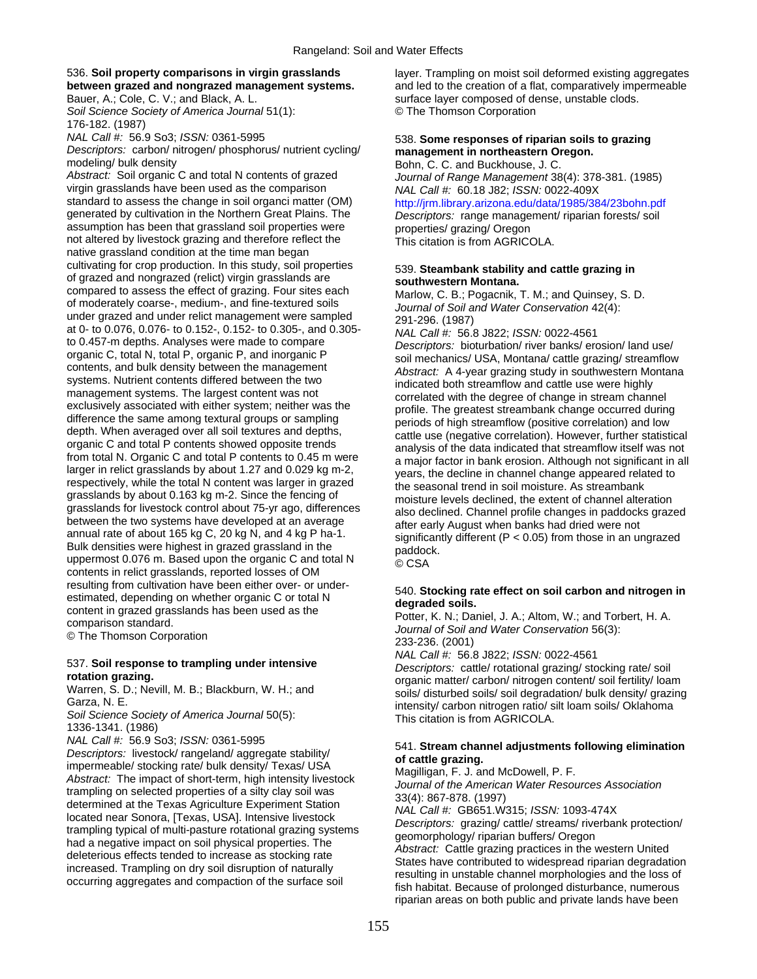**Soil Science Society of America Journal 51(1):** 176-182. (1987)

*Descriptors:* carbon/ nitrogen/ phosphorus/ nutrient cycling/ **management in northeastern Oregon.** 

modeling/ bulk density<br>Abstract: Soil organic C and total N contents of grazed Bohn, C. C. and Buckhouse, J. C.<br>Journal of Range Management 38 virgin grasslands have been used as the comparison *NAL Call #:* 60.18 J82; *ISSN:* 0022-409X standard to assess the change in soil organci matter (OM) http://jrm.library.arizona.edu/data/1985/384/23bohn.pdf<br>generated by cultivation in the Northern Great Plains. The Descriptors: range management/ riparian forests/ assumption has been that grassland soil properties were properties/ grazing/ Oregon not altered by livestock grazing and therefore reflect the This citation is from AGRICOLA. native grassland condition at the time man began cultivating for crop production. In this study, soil properties 539. **Steambank stability and cattle grazing in**<br>
of grazed and nongrazed (relict) virgin grasslands are **southwestern Montana.**<br> **Southwestern Montana. Sou** compared to assess the effect of grazing. Four sites each of moderately coarse-, medium-, and fine-textured soils of moderately coarse-, medium-, and fine-textured soils under grazed and under relict management were sample at 0- to 0.076, 0.076- to 0.152-, 0.152- to 0.305-, and 0.305-<br>to 0.457-m depths. Analyses were made to compare *Descriptors: bioturbation/ river banks/ erosion/ land use/*<br>organic C, total N, total P, organic P, and inorg organic C, total N, total P, organic P, and inorganic P<br>contents, and bulk density between the management<br>systems. Nutrient contents differed between the two<br>management systems. The largest content was not<br>exclusively asso organic C and total P contents showed opposite trends<br>from total N. Organic C and total P contents to 0.45 m were<br>larger in relict grasslands by about 1.27 and 0.029 kg m-2,<br>respectively, while the total N content was larg grasslands by about 0.163 kg m-2. Since the fencing of<br>grasslands for livestock control about 75-yr ago, differences<br>between the two systems have developed at an average<br>annual rate of about 165 kg C, 20 kg N, and 4 kg P contents in relict grasslands, reported losses of OM resulting from cultivation have been either over- or under-<br>estimated, depending on whether organic C or total N<br>content in grazed grasslands has been used as the<br>comparison standard.<br>
The Thomson Corporation<br>
C The Thomso

1336-1341. (1986)

NAL Call #: 56.9 So3; ISSN: 0361-5995<br>
Descriptors: livestock/ rangeland/ aggregate stability/<br>
impermenble/stocking rate/bulk density/ Texas/ USA<br>
Abstract: The impact of short-term, high intensity livestock<br>
trampling on

536. **Soil property comparisons in virgin grasslands** layer. Trampling on moist soil deformed existing aggregates **between grazed and nongrazed management systems.** and led to the creation of a flat, comparatively impermeable Bauer, A.; Cole, C. V.; and Black, A. L. surface layer composed of dense, unstable clods.<br>Soil Science Society of America Journal 51(1): <br>© The Thomson Corporation

# *NAL Call #:* 56.9 So3; *ISSN:* 0361-5995 **120 Some responses of riparian soils to grazing**

*Journal of Range Management 38(4): 378-381. (1985)* Descriptors: range management/ riparian forests/ soil

*NAL Call #:* 56.8 J822; *ISSN:* 0022-4561 537. Soil response to trampling under intensive<br>
rotation grazing.<br>
rotation grazing.<br>
Warren, S. D.; Nevill, M. B.; Blackburn, W. H.; and<br>
Garza, N. E.<br>
Soil Science Society of America Journal 50(5):<br>
Soil Science Society

riparian areas on both public and private lands have been